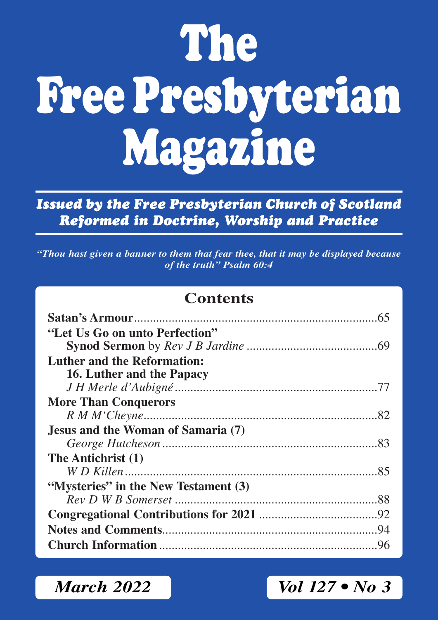# **The Free Presbyterian Magazine**

*Issued by the Free Presbyterian Church of Scotland Reformed in Doctrine, Worship and Practice*

*"Thou hast given a banner to them that fear thee, that it may be displayed because of the truth" Psalm 60:4*

# **Contents**

| "Let Us Go on unto Perfection"       |  |
|--------------------------------------|--|
| Luther and the Reformation:          |  |
| 16. Luther and the Papacy            |  |
|                                      |  |
| <b>More Than Conquerors</b>          |  |
|                                      |  |
| Jesus and the Woman of Samaria (7)   |  |
|                                      |  |
| The Antichrist (1)                   |  |
|                                      |  |
| "Mysteries" in the New Testament (3) |  |
|                                      |  |
|                                      |  |
|                                      |  |
|                                      |  |

*March 2022 Vol 127 • No 3*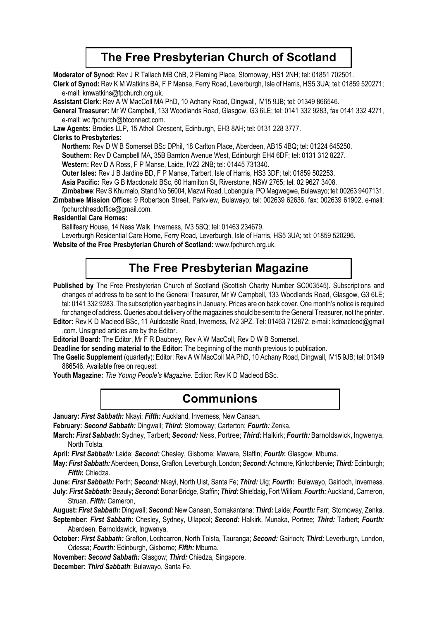# **The Free Presbyterian Church of Scotland**

**Moderator of Synod:** Rev J R Tallach MB ChB, 2 Fleming Place, Stornoway, HS1 2NH; tel: 01851 702501.

**Clerk of Synod:** Rev K M Watkins BA, F P Manse, Ferry Road, Leverburgh, Isle of Harris, HS5 3UA; tel: 01859 520271; e-mail: kmwatkins@fpchurch.org.uk.

**Assistant Clerk:** Rev A W MacColl MA PhD, 10 Achany Road, Dingwall, IV15 9JB; tel: 01349 866546.

**General Treasurer:** Mr W Campbell, 133 Woodlands Road, Glasgow, G3 6LE; tel: 0141 332 9283, fax 0141 332 4271, e-mail: wc.fpchurch@btconnect.com.

**Law Agents:** Brodies LLP, 15 Atholl Crescent, Edinburgh, EH3 8AH; tel: 0131 228 3777.

### **Clerks to Presbyteries:**

**Northern:** Rev D W B Somerset BSc DPhil, 18 Carlton Place, Aberdeen, AB15 4BQ; tel: 01224 645250.

**Southern:** Rev D Campbell MA, 35B Barnton Avenue West, Edinburgh EH4 6DF; tel: 0131 312 8227.

**Western:** Rev D A Ross, F P Manse, Laide, IV22 2NB; tel: 01445 731340.

**Outer lsles:** Rev J B Jardine BD, F P Manse, Tarbert, Isle of Harris, HS3 3DF; tel: 01859 502253.

**Asia Pacific:** Rev G B Macdonald BSc, 60 Hamilton St, Riverstone, NSW 2765; tel. 02 9627 3408.

**Zimbabwe**: Rev S Khumalo, Stand No 56004, Mazwi Road, Lobengula, PO Magwegwe, Bulawayo; tel: 00263 9407131.

**Zimbabwe Mission Office:** 9 Robertson Street, Parkview, Bulawayo; tel: 002639 62636, fax: 002639 61902, e-mail: fpchurchheadoffice@gmail.com.

### **Residential Care Homes:**

Ballifeary House, 14 Ness Walk, Inverness, IV3 5SQ; tel: 01463 234679.

Leverburgh Residential Care Home, Ferry Road, Leverburgh, Isle of Harris, HS5 3UA; tel: 01859 520296.

**Website of the Free Presbyterian Church of Scotland:** www.fpchurch.org.uk.

# **The Free Presbyterian Magazine**

Published by The Free Presbyterian Church of Scotland (Scottish Charity Number SC003545). Subscriptions and changes of address to be sent to the General Treasurer, Mr W Campbell, 133 Woodlands Road, Glasgow, G3 6LE; tel: 0141 332 9283. The subscription year begins in January. Prices are on back cover. One month's notice is required for change of address. Queries about delivery of the magazines should be sent to the General Treasurer, not the printer.

**Editor:** Rev K D Macleod BSc, 11 Auldcastle Road, Inverness, IV2 3PZ. Tel: 01463 712872; e-mail: kdmacleod@gmail .com. Unsigned articles are by the Editor.

**Editorial Board:** The Editor, Mr F R Daubney, Rev A W MacColl, Rev D W B Somerset.

**Deadline for sending material to the Editor:** The beginning of the month previous to publication.

**The Gaelic Supplement** (quarterly): Editor: Rev A W MacColl MA PhD, 10 Achany Road, Dingwall, IV15 9JB; tel: 01349 866546. Available free on request.

**Youth Magazine:** *The Young People's Magazine*. Editor: Rev K D Macleod BSc.

# **Communions**

**January:** *First Sabbath:* Nkayi; *Fifth:* Auckland, Inverness, New Canaan.

**February:** *Second Sabbath:* Dingwall; *Third:* Stornoway; Carterton; *Fourth:* Zenka.

**March:** *First Sabbath:* Sydney, Tarbert; *Second:* Ness, Portree; *Third:* Halkirk; *Fourth:* Barnoldswick, Ingwenya, North Tolsta.

**April:** *First Sabbath:* Laide; *Second:* Chesley, Gisborne; Maware, Staffin; *Fourth***:** Glasgow, Mbuma.

**May:** *First Sabbath:* Aberdeen, Donsa, Grafton, Leverburgh, London; *Second:* Achmore, Kinlochbervie; *Third:* Edinburgh; *Fifth***:** Chiedza.

**June:** *First Sabbath:* Perth; *Second:* Nkayi, North Uist, Santa Fe; *Third:* Uig; *Fourth:* Bulawayo, Gairloch, Inverness.

**July:** *First Sabbath:* Beauly; *Second:* Bonar Bridge, Staffin; *Third:* Shieldaig, Fort William; *Fourth:* Auckland, Cameron, Struan. *Fifth:* Cameron,

**August:** *First Sabbath:* Dingwall; *Second:* New Canaan, Somakantana; *Third:* Laide; *Fourth:* Farr; Stornoway, Zenka.

**September:** *First Sabbath:* Chesley, Sydney, Ullapool; *Second:* Halkirk, Munaka, Portree; *Third:* Tarbert; *Fourth:* Aberdeen, Barnoldswick, Ingwenya.

- **October:** *First Sabbath:* Grafton, Lochcarron, North Tolsta, Tauranga; *Second:* Gairloch; *Third:* Leverburgh, London, Odessa; *Fourth:* Edinburgh, Gisborne; *Fifth:* Mbuma.
- **November:** *Second Sabbath:* Glasgow; *Third:* Chiedza, Singapore.

**December:** *Third Sabbath*: Bulawayo, Santa Fe.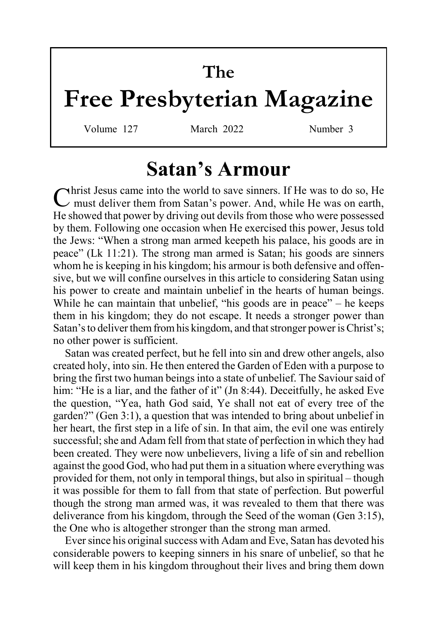# **The**

# **Free Presbyterian Magazine**

Volume 127 March 2022 Number 3

# **Satan's Armour**

Christ Jesus came into the world to save sinners. If He was to do so, He must deliver them from Satan's power. And, while He was on earth, He showed that power by driving out devils from those who were possessed by them. Following one occasion when He exercised this power, Jesus told the Jews: "When a strong man armed keepeth his palace, his goods are in peace" (Lk 11:21). The strong man armed is Satan; his goods are sinners whom he is keeping in his kingdom; his armour is both defensive and offensive, but we will confine ourselves in this article to considering Satan using his power to create and maintain unbelief in the hearts of human beings. While he can maintain that unbelief, "his goods are in peace" – he keeps them in his kingdom; they do not escape. It needs a stronger power than Satan's to deliver them from his kingdom, and that stronger power is Christ's; no other power is sufficient.

Satan was created perfect, but he fell into sin and drew other angels, also created holy, into sin. He then entered the Garden of Eden with a purpose to bring the first two human beings into a state of unbelief. The Saviour said of him: "He is a liar, and the father of it" (Jn 8:44). Deceitfully, he asked Eve the question, "Yea, hath God said, Ye shall not eat of every tree of the garden?" (Gen 3:1), a question that was intended to bring about unbelief in her heart, the first step in a life of sin. In that aim, the evil one was entirely successful; she and Adam fell from that state of perfection in which they had been created. They were now unbelievers, living a life of sin and rebellion against the good God, who had put them in a situation where everything was provided for them, not only in temporal things, but also in spiritual – though it was possible for them to fall from that state of perfection. But powerful though the strong man armed was, it was revealed to them that there was deliverance from his kingdom, through the Seed of the woman (Gen 3:15), the One who is altogether stronger than the strong man armed.

Ever since his original success with Adam and Eve, Satan has devoted his considerable powers to keeping sinners in his snare of unbelief, so that he will keep them in his kingdom throughout their lives and bring them down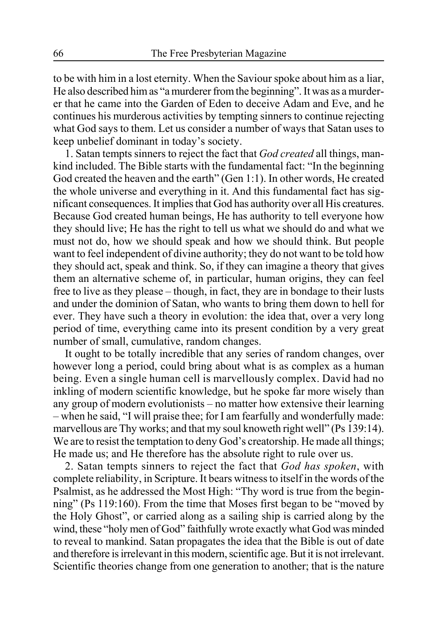to be with him in a lost eternity. When the Saviour spoke about him as a liar, He also described him as "a murderer from the beginning". It was as a murderer that he came into the Garden of Eden to deceive Adam and Eve, and he continues his murderous activities by tempting sinners to continue rejecting what God says to them. Let us consider a number of ways that Satan uses to keep unbelief dominant in today's society.

1. Satan tempts sinners to reject the fact that *God created* all things, mankind included. The Bible starts with the fundamental fact: "In the beginning God created the heaven and the earth" (Gen 1:1). In other words, He created the whole universe and everything in it. And this fundamental fact has significant consequences. It implies that God has authority over all His creatures. Because God created human beings, He has authority to tell everyone how they should live; He has the right to tell us what we should do and what we must not do, how we should speak and how we should think. But people want to feel independent of divine authority; they do not want to be told how they should act, speak and think. So, if they can imagine a theory that gives them an alternative scheme of, in particular, human origins, they can feel free to live as they please – though, in fact, they are in bondage to their lusts and under the dominion of Satan, who wants to bring them down to hell for ever. They have such a theory in evolution: the idea that, over a very long period of time, everything came into its present condition by a very great number of small, cumulative, random changes.

It ought to be totally incredible that any series of random changes, over however long a period, could bring about what is as complex as a human being. Even a single human cell is marvellously complex. David had no inkling of modern scientific knowledge, but he spoke far more wisely than any group of modern evolutionists – no matter how extensive their learning – when he said, "I will praise thee; for I am fearfully and wonderfully made: marvellous are Thy works; and that my soul knoweth right well" (Ps 139:14). We are to resist the temptation to deny God's creatorship. He made all things; He made us; and He therefore has the absolute right to rule over us.

2. Satan tempts sinners to reject the fact that *God has spoken*, with complete reliability, in Scripture. It bears witness to itself in the words of the Psalmist, as he addressed the Most High: "Thy word is true from the beginning" (Ps 119:160). From the time that Moses first began to be "moved by the Holy Ghost", or carried along as a sailing ship is carried along by the wind, these "holy men of God" faithfully wrote exactly what God was minded to reveal to mankind. Satan propagates the idea that the Bible is out of date and therefore is irrelevant in this modern, scientific age. But it is not irrelevant. Scientific theories change from one generation to another; that is the nature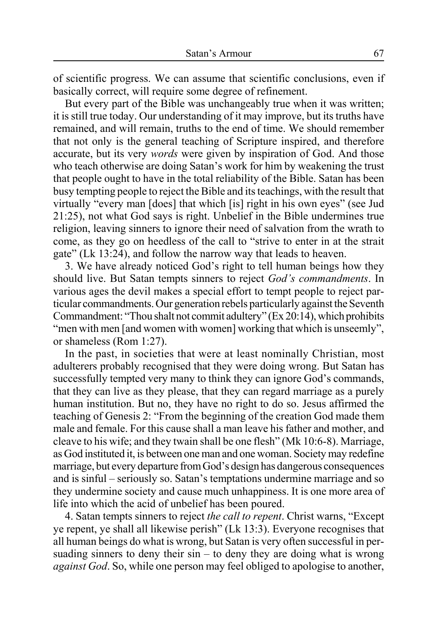of scientific progress. We can assume that scientific conclusions, even if basically correct, will require some degree of refinement.

But every part of the Bible was unchangeably true when it was written; it is still true today. Our understanding of it may improve, but its truths have remained, and will remain, truths to the end of time. We should remember that not only is the general teaching of Scripture inspired, and therefore accurate, but its very *words* were given by inspiration of God. And those who teach otherwise are doing Satan's work for him by weakening the trust that people ought to have in the total reliability of the Bible. Satan has been busy tempting people to reject the Bible and its teachings, with the result that virtually "every man [does] that which [is] right in his own eyes" (see Jud 21:25), not what God says is right. Unbelief in the Bible undermines true religion, leaving sinners to ignore their need of salvation from the wrath to come, as they go on heedless of the call to "strive to enter in at the strait gate" (Lk 13:24), and follow the narrow way that leads to heaven.

3. We have already noticed God's right to tell human beings how they should live. But Satan tempts sinners to reject *God's commandments*. In various ages the devil makes a special effort to tempt people to reject particular commandments. Our generation rebels particularly against the Seventh Commandment: "Thou shalt not commit adultery" (Ex 20:14), which prohibits "men with men [and women with women] working that which is unseemly", or shameless (Rom 1:27).

In the past, in societies that were at least nominally Christian, most adulterers probably recognised that they were doing wrong. But Satan has successfully tempted very many to think they can ignore God's commands, that they can live as they please, that they can regard marriage as a purely human institution. But no, they have no right to do so. Jesus affirmed the teaching of Genesis 2: "From the beginning of the creation God made them male and female. For this cause shall a man leave his father and mother, and cleave to his wife; and they twain shall be one flesh" (Mk 10:6-8). Marriage, as God instituted it, is between one man and one woman. Society may redefine marriage, but every departure from God's design has dangerous consequences and is sinful – seriously so. Satan's temptations undermine marriage and so they undermine society and cause much unhappiness. It is one more area of life into which the acid of unbelief has been poured.

4. Satan tempts sinners to reject *the call to repent*. Christ warns, "Except ye repent, ye shall all likewise perish" (Lk 13:3). Everyone recognises that all human beings do what is wrong, but Satan is very often successful in persuading sinners to deny their  $sin - to$  deny they are doing what is wrong *against God*. So, while one person may feel obliged to apologise to another,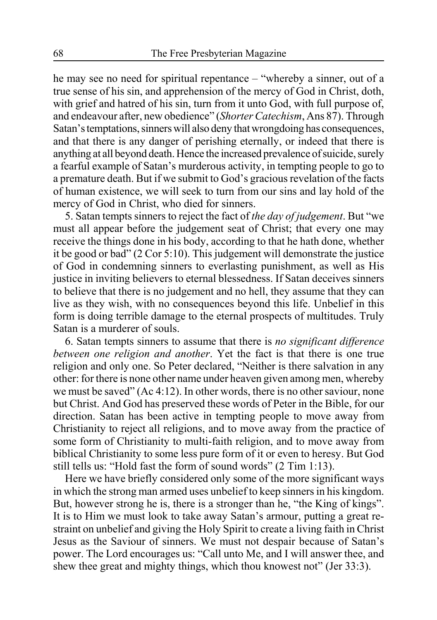he may see no need for spiritual repentance – "whereby a sinner, out of a true sense of his sin, and apprehension of the mercy of God in Christ, doth, with grief and hatred of his sin, turn from it unto God, with full purpose of, and endeavour after, new obedience" (*Shorter Catechism*, Ans 87). Through Satan's temptations, sinners will also deny that wrongdoing has consequences, and that there is any danger of perishing eternally, or indeed that there is anything at all beyond death. Hence the increased prevalence of suicide, surely a fearful example of Satan's murderous activity, in tempting people to go to a premature death. But if we submit to God's gracious revelation of the facts of human existence, we will seek to turn from our sins and lay hold of the mercy of God in Christ, who died for sinners.

5. Satan tempts sinners to reject the fact of *the day of judgement*. But "we must all appear before the judgement seat of Christ; that every one may receive the things done in his body, according to that he hath done, whether it be good or bad" (2 Cor 5:10). This judgement will demonstrate the justice of God in condemning sinners to everlasting punishment, as well as His justice in inviting believers to eternal blessedness. If Satan deceives sinners to believe that there is no judgement and no hell, they assume that they can live as they wish, with no consequences beyond this life. Unbelief in this form is doing terrible damage to the eternal prospects of multitudes. Truly Satan is a murderer of souls.

6. Satan tempts sinners to assume that there is *no significant difference between one religion and another*. Yet the fact is that there is one true religion and only one. So Peter declared, "Neither is there salvation in any other: for there is none other name under heaven given among men, whereby we must be saved" (Ac 4:12). In other words, there is no other saviour, none but Christ. And God has preserved these words of Peter in the Bible, for our direction. Satan has been active in tempting people to move away from Christianity to reject all religions, and to move away from the practice of some form of Christianity to multi-faith religion, and to move away from biblical Christianity to some less pure form of it or even to heresy. But God still tells us: "Hold fast the form of sound words" (2 Tim 1:13).

Here we have briefly considered only some of the more significant ways in which the strong man armed uses unbelief to keep sinners in his kingdom. But, however strong he is, there is a stronger than he, "the King of kings". It is to Him we must look to take away Satan's armour, putting a great restraint on unbelief and giving the Holy Spirit to create a living faith in Christ Jesus as the Saviour of sinners. We must not despair because of Satan's power. The Lord encourages us: "Call unto Me, and I will answer thee, and shew thee great and mighty things, which thou knowest not" (Jer 33:3).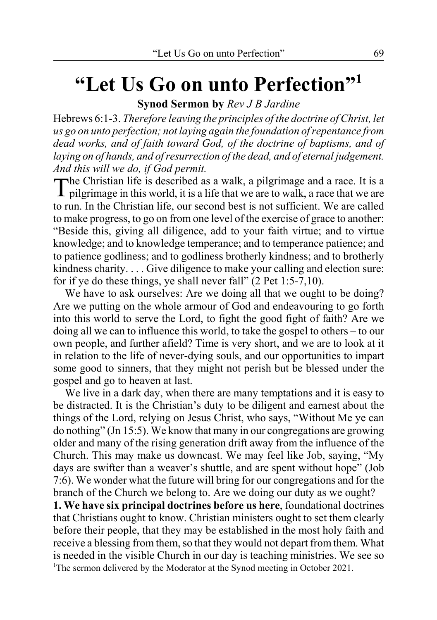# **"Let Us Go on unto Perfection"1**

**Synod Sermon by** *Rev J B Jardine*

Hebrews 6:1-3. *Therefore leaving the principles of the doctrine of Christ, let us go on unto perfection; not laying again the foundation of repentance from dead works, and of faith toward God, of the doctrine of baptisms, and of laying on of hands, and of resurrection of the dead, and of eternal judgement. And this will we do, if God permit.*

The Christian life is described as a walk, a pilgrimage and a race. It is a  $\perp$  pilgrimage in this world, it is a life that we are to walk, a race that we are to run. In the Christian life, our second best is not sufficient. We are called to make progress, to go on from one level of the exercise of grace to another: "Beside this, giving all diligence, add to your faith virtue; and to virtue knowledge; and to knowledge temperance; and to temperance patience; and to patience godliness; and to godliness brotherly kindness; and to brotherly kindness charity. . . . Give diligence to make your calling and election sure: for if ye do these things, ye shall never fall" (2 Pet 1:5-7,10).

We have to ask ourselves: Are we doing all that we ought to be doing? Are we putting on the whole armour of God and endeavouring to go forth into this world to serve the Lord, to fight the good fight of faith? Are we doing all we can to influence this world, to take the gospel to others – to our own people, and further afield? Time is very short, and we are to look at it in relation to the life of never-dying souls, and our opportunities to impart some good to sinners, that they might not perish but be blessed under the gospel and go to heaven at last.

We live in a dark day, when there are many temptations and it is easy to be distracted. It is the Christian's duty to be diligent and earnest about the things of the Lord, relying on Jesus Christ, who says, "Without Me ye can do nothing" (Jn 15:5). We know that many in our congregations are growing older and many of the rising generation drift away from the influence of the Church. This may make us downcast. We may feel like Job, saying, "My days are swifter than a weaver's shuttle, and are spent without hope" (Job 7:6). We wonder what the future will bring for our congregations and for the branch of the Church we belong to. Are we doing our duty as we ought?

**1. We have six principal doctrines before us here**, foundational doctrines that Christians ought to know. Christian ministers ought to set them clearly before their people, that they may be established in the most holy faith and receive a blessing from them, so that they would not depart from them. What is needed in the visible Church in our day is teaching ministries. We see so <sup>1</sup>The sermon delivered by the Moderator at the Synod meeting in October 2021.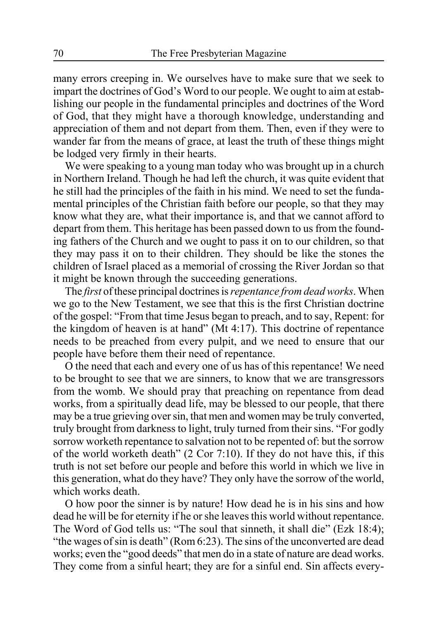many errors creeping in. We ourselves have to make sure that we seek to impart the doctrines of God's Word to our people. We ought to aim at establishing our people in the fundamental principles and doctrines of the Word of God, that they might have a thorough knowledge, understanding and appreciation of them and not depart from them. Then, even if they were to wander far from the means of grace, at least the truth of these things might be lodged very firmly in their hearts.

We were speaking to a young man today who was brought up in a church in Northern Ireland. Though he had left the church, it was quite evident that he still had the principles of the faith in his mind. We need to set the fundamental principles of the Christian faith before our people, so that they may know what they are, what their importance is, and that we cannot afford to depart from them. This heritage has been passed down to us from the founding fathers of the Church and we ought to pass it on to our children, so that they may pass it on to their children. They should be like the stones the children of Israel placed as a memorial of crossing the River Jordan so that it might be known through the succeeding generations.

The *first* of these principal doctrines is *repentance from dead works*. When we go to the New Testament, we see that this is the first Christian doctrine of the gospel: "From that time Jesus began to preach, and to say, Repent: for the kingdom of heaven is at hand" (Mt 4:17). This doctrine of repentance needs to be preached from every pulpit, and we need to ensure that our people have before them their need of repentance.

O the need that each and every one of us has of this repentance! We need to be brought to see that we are sinners, to know that we are transgressors from the womb. We should pray that preaching on repentance from dead works, from a spiritually dead life, may be blessed to our people, that there may be a true grieving over sin, that men and women may be truly converted, truly brought from darkness to light, truly turned from their sins. "For godly sorrow worketh repentance to salvation not to be repented of: but the sorrow of the world worketh death" (2 Cor 7:10). If they do not have this, if this truth is not set before our people and before this world in which we live in this generation, what do they have? They only have the sorrow of the world, which works death.

O how poor the sinner is by nature! How dead he is in his sins and how dead he will be for eternity if he or she leaves this world without repentance. The Word of God tells us: "The soul that sinneth, it shall die" (Ezk 18:4); "the wages of sin is death" (Rom 6:23). The sins of the unconverted are dead works; even the "good deeds" that men do in a state of nature are dead works. They come from a sinful heart; they are for a sinful end. Sin affects every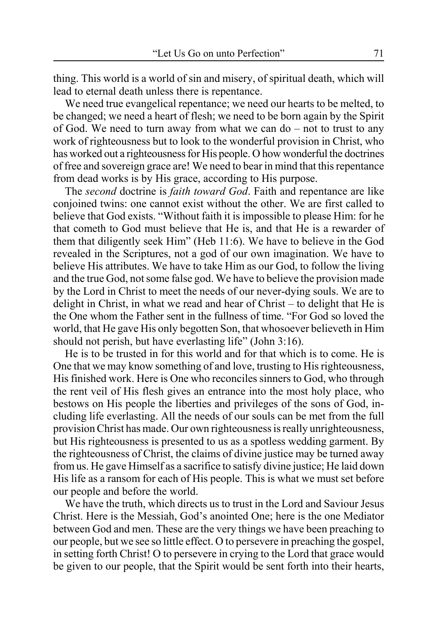thing. This world is a world of sin and misery, of spiritual death, which will lead to eternal death unless there is repentance.

We need true evangelical repentance; we need our hearts to be melted, to be changed; we need a heart of flesh; we need to be born again by the Spirit of God. We need to turn away from what we can do – not to trust to any work of righteousness but to look to the wonderful provision in Christ, who has worked out a righteousness for His people. O how wonderful the doctrines of free and sovereign grace are! We need to bear in mind that this repentance from dead works is by His grace, according to His purpose.

The *second* doctrine is *faith toward God*. Faith and repentance are like conjoined twins: one cannot exist without the other. We are first called to believe that God exists. "Without faith it is impossible to please Him: for he that cometh to God must believe that He is, and that He is a rewarder of them that diligently seek Him" (Heb 11:6). We have to believe in the God revealed in the Scriptures, not a god of our own imagination. We have to believe His attributes. We have to take Him as our God, to follow the living and the true God, not some false god. We have to believe the provision made by the Lord in Christ to meet the needs of our never-dying souls. We are to delight in Christ, in what we read and hear of Christ – to delight that He is the One whom the Father sent in the fullness of time. "For God so loved the world, that He gave His only begotten Son, that whosoever believeth in Him should not perish, but have everlasting life" (John 3:16).

He is to be trusted in for this world and for that which is to come. He is One that we may know something of and love, trusting to His righteousness, His finished work. Here is One who reconciles sinners to God, who through the rent veil of His flesh gives an entrance into the most holy place, who bestows on His people the liberties and privileges of the sons of God, including life everlasting. All the needs of our souls can be met from the full provision Christ has made. Our own righteousness is really unrighteousness, but His righteousness is presented to us as a spotless wedding garment. By the righteousness of Christ, the claims of divine justice may be turned away from us. He gave Himself as a sacrifice to satisfy divine justice; He laid down His life as a ransom for each of His people. This is what we must set before our people and before the world.

We have the truth, which directs us to trust in the Lord and Saviour Jesus Christ. Here is the Messiah, God's anointed One; here is the one Mediator between God and men. These are the very things we have been preaching to our people, but we see so little effect. O to persevere in preaching the gospel, in setting forth Christ! O to persevere in crying to the Lord that grace would be given to our people, that the Spirit would be sent forth into their hearts,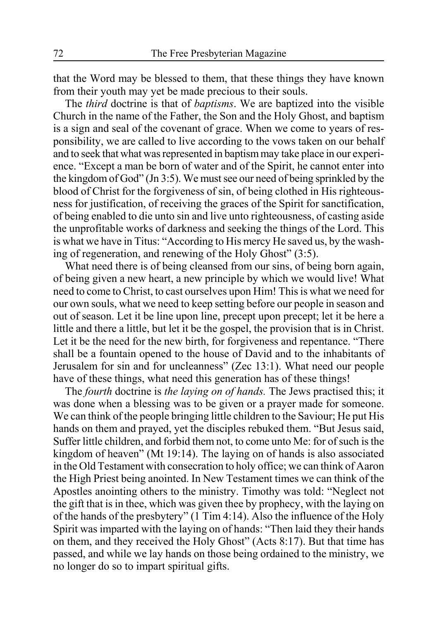that the Word may be blessed to them, that these things they have known from their youth may yet be made precious to their souls.

The *third* doctrine is that of *baptisms*. We are baptized into the visible Church in the name of the Father, the Son and the Holy Ghost, and baptism is a sign and seal of the covenant of grace. When we come to years of responsibility, we are called to live according to the vows taken on our behalf and to seek that what was represented in baptism may take place in our experience. "Except a man be born of water and of the Spirit, he cannot enter into the kingdom of God" (Jn 3:5). We must see our need of being sprinkled by the blood of Christ for the forgiveness of sin, of being clothed in His righteousness for justification, of receiving the graces of the Spirit for sanctification, of being enabled to die unto sin and live unto righteousness, of casting aside the unprofitable works of darkness and seeking the things of the Lord. This is what we have in Titus: "According to His mercy He saved us, by the washing of regeneration, and renewing of the Holy Ghost" (3:5).

What need there is of being cleansed from our sins, of being born again, of being given a new heart, a new principle by which we would live! What need to come to Christ, to cast ourselves upon Him! This is what we need for our own souls, what we need to keep setting before our people in season and out of season. Let it be line upon line, precept upon precept; let it be here a little and there a little, but let it be the gospel, the provision that is in Christ. Let it be the need for the new birth, for forgiveness and repentance. "There shall be a fountain opened to the house of David and to the inhabitants of Jerusalem for sin and for uncleanness" (Zec 13:1). What need our people have of these things, what need this generation has of these things!

The *fourth* doctrine is *the laying on of hands.* The Jews practised this; it was done when a blessing was to be given or a prayer made for someone. We can think of the people bringing little children to the Saviour; He put His hands on them and prayed, yet the disciples rebuked them. "But Jesus said, Suffer little children, and forbid them not, to come unto Me: for of such is the kingdom of heaven" (Mt 19:14). The laying on of hands is also associated in the Old Testament with consecration to holy office; we can think of Aaron the High Priest being anointed. In New Testament times we can think of the Apostles anointing others to the ministry. Timothy was told: "Neglect not the gift that is in thee, which was given thee by prophecy, with the laying on of the hands of the presbytery" (1 Tim 4:14). Also the influence of the Holy Spirit was imparted with the laying on of hands: "Then laid they their hands on them, and they received the Holy Ghost" (Acts 8:17). But that time has passed, and while we lay hands on those being ordained to the ministry, we no longer do so to impart spiritual gifts.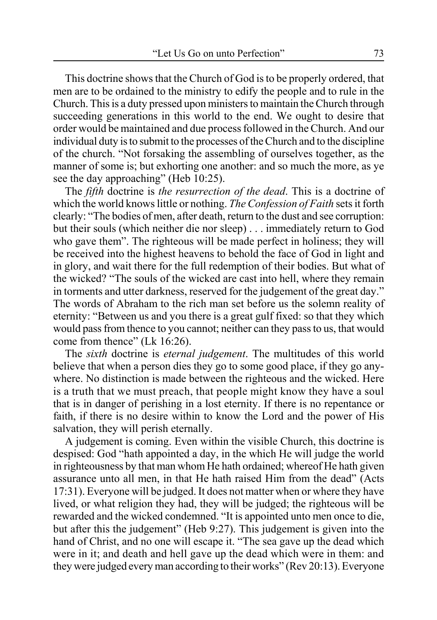This doctrine shows that the Church of God is to be properly ordered, that men are to be ordained to the ministry to edify the people and to rule in the Church. This is a duty pressed upon ministers to maintain the Church through succeeding generations in this world to the end. We ought to desire that order would be maintained and due process followed in the Church. And our individual duty is to submit to the processes of the Church and to the discipline of the church. "Not forsaking the assembling of ourselves together, as the manner of some is; but exhorting one another: and so much the more, as ye see the day approaching" (Heb 10:25).

The *fifth* doctrine is *the resurrection of the dead*. This is a doctrine of which the world knows little or nothing. *The Confession of Faith* sets it forth clearly: "The bodies of men, after death, return to the dust and see corruption: but their souls (which neither die nor sleep) . . . immediately return to God who gave them". The righteous will be made perfect in holiness; they will be received into the highest heavens to behold the face of God in light and in glory, and wait there for the full redemption of their bodies. But what of the wicked? "The souls of the wicked are cast into hell, where they remain in torments and utter darkness, reserved for the judgement of the great day." The words of Abraham to the rich man set before us the solemn reality of eternity: "Between us and you there is a great gulf fixed: so that they which would pass from thence to you cannot; neither can they pass to us, that would come from thence" (Lk 16:26).

The *sixth* doctrine is *eternal judgement*. The multitudes of this world believe that when a person dies they go to some good place, if they go anywhere. No distinction is made between the righteous and the wicked. Here is a truth that we must preach, that people might know they have a soul that is in danger of perishing in a lost eternity. If there is no repentance or faith, if there is no desire within to know the Lord and the power of His salvation, they will perish eternally.

A judgement is coming. Even within the visible Church, this doctrine is despised: God "hath appointed a day, in the which He will judge the world in righteousness by that man whom He hath ordained; whereof He hath given assurance unto all men, in that He hath raised Him from the dead" (Acts 17:31). Everyone will be judged. It does not matter when or where they have lived, or what religion they had, they will be judged; the righteous will be rewarded and the wicked condemned. "It is appointed unto men once to die, but after this the judgement" (Heb 9:27). This judgement is given into the hand of Christ, and no one will escape it. "The sea gave up the dead which were in it; and death and hell gave up the dead which were in them: and they were judged every man according to their works" (Rev 20:13). Everyone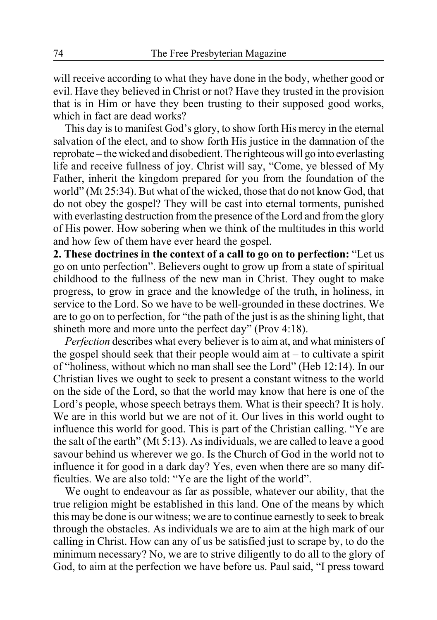will receive according to what they have done in the body, whether good or evil. Have they believed in Christ or not? Have they trusted in the provision that is in Him or have they been trusting to their supposed good works, which in fact are dead works?

This day is to manifest God's glory, to show forth His mercy in the eternal salvation of the elect, and to show forth His justice in the damnation of the reprobate – the wicked and disobedient. The righteous will go into everlasting life and receive fullness of joy. Christ will say, "Come, ye blessed of My Father, inherit the kingdom prepared for you from the foundation of the world" (Mt 25:34). But what of the wicked, those that do not know God, that do not obey the gospel? They will be cast into eternal torments, punished with everlasting destruction from the presence of the Lord and from the glory of His power. How sobering when we think of the multitudes in this world and how few of them have ever heard the gospel.

**2. These doctrines in the context of a call to go on to perfection:** "Let us go on unto perfection". Believers ought to grow up from a state of spiritual childhood to the fullness of the new man in Christ. They ought to make progress, to grow in grace and the knowledge of the truth, in holiness, in service to the Lord. So we have to be well-grounded in these doctrines. We are to go on to perfection, for "the path of the just is as the shining light, that shineth more and more unto the perfect day" (Prov 4:18).

*Perfection* describes what every believer is to aim at, and what ministers of the gospel should seek that their people would aim at  $-$  to cultivate a spirit of "holiness, without which no man shall see the Lord" (Heb 12:14). In our Christian lives we ought to seek to present a constant witness to the world on the side of the Lord, so that the world may know that here is one of the Lord's people, whose speech betrays them. What is their speech? It is holy. We are in this world but we are not of it. Our lives in this world ought to influence this world for good. This is part of the Christian calling. "Ye are the salt of the earth" (Mt 5:13). As individuals, we are called to leave a good savour behind us wherever we go. Is the Church of God in the world not to influence it for good in a dark day? Yes, even when there are so many difficulties. We are also told: "Ye are the light of the world".

We ought to endeavour as far as possible, whatever our ability, that the true religion might be established in this land. One of the means by which this may be done is our witness; we are to continue earnestly to seek to break through the obstacles. As individuals we are to aim at the high mark of our calling in Christ. How can any of us be satisfied just to scrape by, to do the minimum necessary? No, we are to strive diligently to do all to the glory of God, to aim at the perfection we have before us. Paul said, "I press toward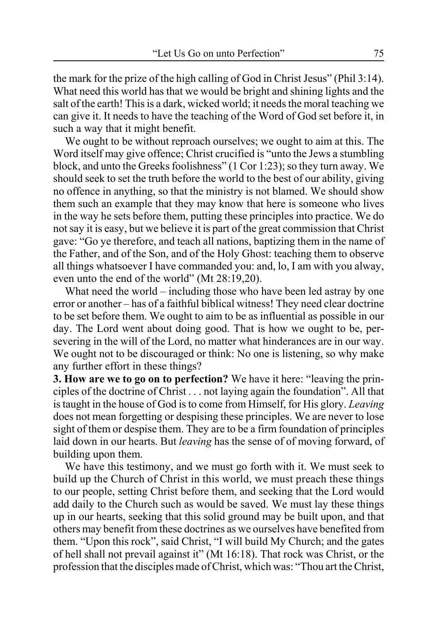the mark for the prize of the high calling of God in Christ Jesus" (Phil 3:14). What need this world has that we would be bright and shining lights and the salt of the earth! This is a dark, wicked world; it needs the moral teaching we can give it. It needs to have the teaching of the Word of God set before it, in such a way that it might benefit.

We ought to be without reproach ourselves; we ought to aim at this. The Word itself may give offence; Christ crucified is "unto the Jews a stumbling block, and unto the Greeks foolishness" (1 Cor 1:23); so they turn away. We should seek to set the truth before the world to the best of our ability, giving no offence in anything, so that the ministry is not blamed. We should show them such an example that they may know that here is someone who lives in the way he sets before them, putting these principles into practice. We do not say it is easy, but we believe it is part of the great commission that Christ gave: "Go ye therefore, and teach all nations, baptizing them in the name of the Father, and of the Son, and of the Holy Ghost: teaching them to observe all things whatsoever I have commanded you: and, lo, I am with you alway, even unto the end of the world" (Mt 28:19,20).

What need the world – including those who have been led astray by one error or another – has of a faithful biblical witness! They need clear doctrine to be set before them. We ought to aim to be as influential as possible in our day. The Lord went about doing good. That is how we ought to be, persevering in the will of the Lord, no matter what hinderances are in our way. We ought not to be discouraged or think: No one is listening, so why make any further effort in these things?

**3. How are we to go on to perfection?** We have it here: "leaving the principles of the doctrine of Christ . . . not laying again the foundation". All that is taught in the house of God is to come from Himself, for His glory. *Leaving* does not mean forgetting or despising these principles. We are never to lose sight of them or despise them. They are to be a firm foundation of principles laid down in our hearts. But *leaving* has the sense of of moving forward, of building upon them.

We have this testimony, and we must go forth with it. We must seek to build up the Church of Christ in this world, we must preach these things to our people, setting Christ before them, and seeking that the Lord would add daily to the Church such as would be saved. We must lay these things up in our hearts, seeking that this solid ground may be built upon, and that others may benefit from these doctrines as we ourselves have benefited from them. "Upon this rock", said Christ, "I will build My Church; and the gates of hell shall not prevail against it" (Mt 16:18). That rock was Christ, or the profession that the disciples made of Christ, which was: "Thou art the Christ,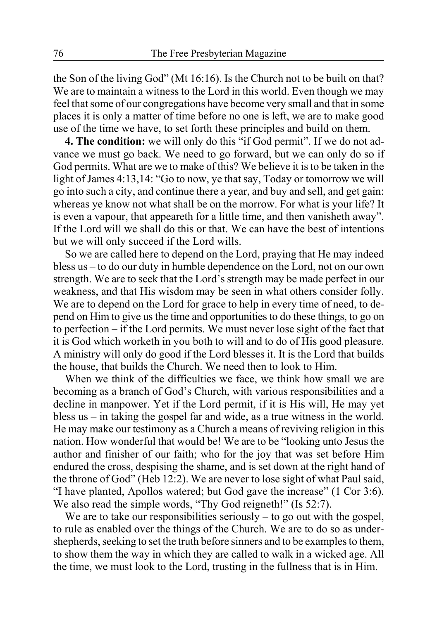the Son of the living God" (Mt 16:16). Is the Church not to be built on that? We are to maintain a witness to the Lord in this world. Even though we may feel that some of our congregations have become very small and that in some places it is only a matter of time before no one is left, we are to make good use of the time we have, to set forth these principles and build on them.

**4. The condition:** we will only do this "if God permit". If we do not advance we must go back. We need to go forward, but we can only do so if God permits. What are we to make of this? We believe it is to be taken in the light of James 4:13,14: "Go to now, ye that say, Today or tomorrow we will go into such a city, and continue there a year, and buy and sell, and get gain: whereas ye know not what shall be on the morrow. For what is your life? It is even a vapour, that appeareth for a little time, and then vanisheth away". If the Lord will we shall do this or that. We can have the best of intentions but we will only succeed if the Lord wills.

So we are called here to depend on the Lord, praying that He may indeed bless us – to do our duty in humble dependence on the Lord, not on our own strength. We are to seek that the Lord's strength may be made perfect in our weakness, and that His wisdom may be seen in what others consider folly. We are to depend on the Lord for grace to help in every time of need, to depend on Him to give us the time and opportunities to do these things, to go on to perfection – if the Lord permits. We must never lose sight of the fact that it is God which worketh in you both to will and to do of His good pleasure. A ministry will only do good if the Lord blesses it. It is the Lord that builds the house, that builds the Church. We need then to look to Him.

When we think of the difficulties we face, we think how small we are becoming as a branch of God's Church, with various responsibilities and a decline in manpower. Yet if the Lord permit, if it is His will, He may yet bless us – in taking the gospel far and wide, as a true witness in the world. He may make our testimony as a Church a means of reviving religion in this nation. How wonderful that would be! We are to be "looking unto Jesus the author and finisher of our faith; who for the joy that was set before Him endured the cross, despising the shame, and is set down at the right hand of the throne of God" (Heb 12:2). We are never to lose sight of what Paul said, "I have planted, Apollos watered; but God gave the increase" (1 Cor 3:6). We also read the simple words, "Thy God reigneth!" (Is 52:7).

We are to take our responsibilities seriously  $-$  to go out with the gospel, to rule as enabled over the things of the Church. We are to do so as undershepherds, seeking to set the truth before sinners and to be examples to them, to show them the way in which they are called to walk in a wicked age. All the time, we must look to the Lord, trusting in the fullness that is in Him.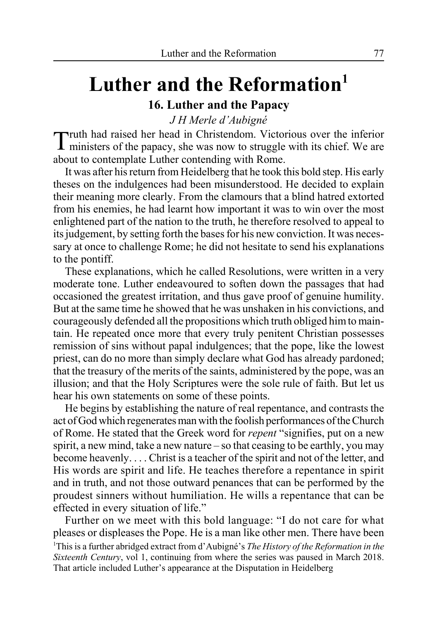# Luther and the Reformation<sup>1</sup> **16. Luther and the Papacy**

*J H Merle d'Aubigné*

Truth had raised her head in Christendom. Victorious over the inferior ministers of the papacy, she was now to struggle with its chief. We are about to contemplate Luther contending with Rome.

It was after his return from Heidelberg that he took this bold step. His early theses on the indulgences had been misunderstood. He decided to explain their meaning more clearly. From the clamours that a blind hatred extorted from his enemies, he had learnt how important it was to win over the most enlightened part of the nation to the truth, he therefore resolved to appeal to its judgement, by setting forth the bases for his new conviction. It was necessary at once to challenge Rome; he did not hesitate to send his explanations to the pontiff.

These explanations, which he called Resolutions, were written in a very moderate tone. Luther endeavoured to soften down the passages that had occasioned the greatest irritation, and thus gave proof of genuine humility. But at the same time he showed that he was unshaken in his convictions, and courageously defended all the propositions which truth obliged him to maintain. He repeated once more that every truly penitent Christian possesses remission of sins without papal indulgences; that the pope, like the lowest priest, can do no more than simply declare what God has already pardoned; that the treasury of the merits of the saints, administered by the pope, was an illusion; and that the Holy Scriptures were the sole rule of faith. But let us hear his own statements on some of these points.

He begins by establishing the nature of real repentance, and contrasts the act of God which regenerates man with the foolish performances of the Church of Rome. He stated that the Greek word for *repent* "signifies, put on a new spirit, a new mind, take a new nature – so that ceasing to be earthly, you may become heavenly. . . . Christ is a teacher of the spirit and not of the letter, and His words are spirit and life. He teaches therefore a repentance in spirit and in truth, and not those outward penances that can be performed by the proudest sinners without humiliation. He wills a repentance that can be effected in every situation of life."

Further on we meet with this bold language: "I do not care for what pleases or displeases the Pope. He is a man like other men. There have been 1 This is a further abridged extract from d'Aubigné's *The History of the Reformation in the Sixteenth Century*, vol 1, continuing from where the series was paused in March 2018. That article included Luther's appearance at the Disputation in Heidelberg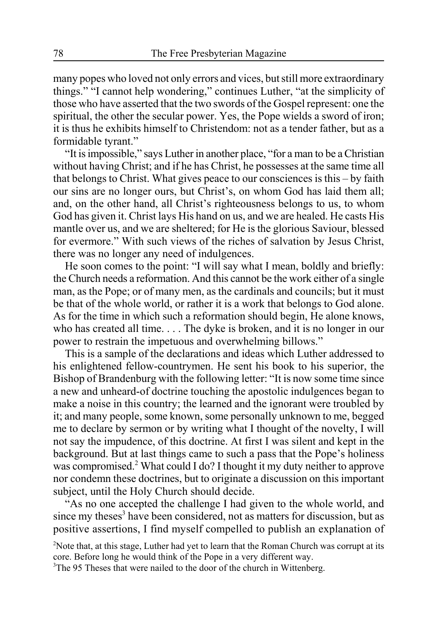many popes who loved not only errors and vices, but still more extraordinary things." "I cannot help wondering," continues Luther, "at the simplicity of those who have asserted that the two swords of the Gospel represent: one the spiritual, the other the secular power. Yes, the Pope wields a sword of iron; it is thus he exhibits himself to Christendom: not as a tender father, but as a formidable tyrant."

"It is impossible," says Luther in another place, "for a man to be a Christian without having Christ; and if he has Christ, he possesses at the same time all that belongs to Christ. What gives peace to our consciences is this – by faith our sins are no longer ours, but Christ's, on whom God has laid them all; and, on the other hand, all Christ's righteousness belongs to us, to whom God has given it. Christ lays His hand on us, and we are healed. He casts His mantle over us, and we are sheltered; for He is the glorious Saviour, blessed for evermore." With such views of the riches of salvation by Jesus Christ, there was no longer any need of indulgences.

He soon comes to the point: "I will say what I mean, boldly and briefly: the Church needs a reformation. And this cannot be the work either of a single man, as the Pope; or of many men, as the cardinals and councils; but it must be that of the whole world, or rather it is a work that belongs to God alone. As for the time in which such a reformation should begin, He alone knows, who has created all time. . . . The dyke is broken, and it is no longer in our power to restrain the impetuous and overwhelming billows."

This is a sample of the declarations and ideas which Luther addressed to his enlightened fellow-countrymen. He sent his book to his superior, the Bishop of Brandenburg with the following letter: "It is now some time since a new and unheard-of doctrine touching the apostolic indulgences began to make a noise in this country; the learned and the ignorant were troubled by it; and many people, some known, some personally unknown to me, begged me to declare by sermon or by writing what I thought of the novelty, I will not say the impudence, of this doctrine. At first I was silent and kept in the background. But at last things came to such a pass that the Pope's holiness was compromised.<sup>2</sup> What could I do? I thought it my duty neither to approve nor condemn these doctrines, but to originate a discussion on this important subject, until the Holy Church should decide.

"As no one accepted the challenge I had given to the whole world, and since my theses<sup>3</sup> have been considered, not as matters for discussion, but as positive assertions, I find myself compelled to publish an explanation of

<sup>2</sup>Note that, at this stage, Luther had yet to learn that the Roman Church was corrupt at its core. Before long he would think of the Pope in a very different way.

<sup>3</sup>The 95 Theses that were nailed to the door of the church in Wittenberg.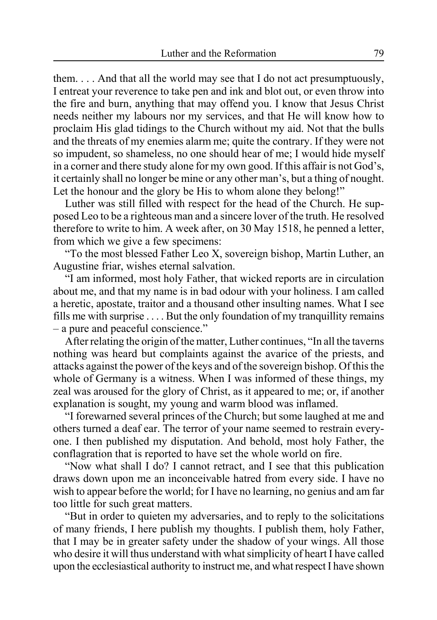them.  $\ldots$  And that all the world may see that I do not act presumptuously, I entreat your reverence to take pen and ink and blot out, or even throw into the fire and burn, anything that may offend you. I know that Jesus Christ needs neither my labours nor my services, and that He will know how to proclaim His glad tidings to the Church without my aid. Not that the bulls and the threats of my enemies alarm me; quite the contrary. If they were not so impudent, so shameless, no one should hear of me; I would hide myself in a corner and there study alone for my own good. If this affair is not God's, it certainly shall no longer be mine or any other man's, but a thing of nought. Let the honour and the glory be His to whom alone they belong!"

Luther was still filled with respect for the head of the Church. He supposed Leo to be a righteous man and a sincere lover of the truth. He resolved therefore to write to him. A week after, on 30 May 1518, he penned a letter, from which we give a few specimens:

"To the most blessed Father Leo X, sovereign bishop, Martin Luther, an Augustine friar, wishes eternal salvation.

"I am informed, most holy Father, that wicked reports are in circulation about me, and that my name is in bad odour with your holiness. I am called a heretic, apostate, traitor and a thousand other insulting names. What I see fills me with surprise . . . . But the only foundation of my tranquillity remains – a pure and peaceful conscience."

After relating the origin of the matter, Luther continues, "In all the taverns nothing was heard but complaints against the avarice of the priests, and attacks against the power of the keys and of the sovereign bishop. Of this the whole of Germany is a witness. When I was informed of these things, my zeal was aroused for the glory of Christ, as it appeared to me; or, if another explanation is sought, my young and warm blood was inflamed.

"I forewarned several princes of the Church; but some laughed at me and others turned a deaf ear. The terror of your name seemed to restrain everyone. I then published my disputation. And behold, most holy Father, the conflagration that is reported to have set the whole world on fire.

"Now what shall I do? I cannot retract, and I see that this publication draws down upon me an inconceivable hatred from every side. I have no wish to appear before the world; for I have no learning, no genius and am far too little for such great matters.

"But in order to quieten my adversaries, and to reply to the solicitations of many friends, I here publish my thoughts. I publish them, holy Father, that I may be in greater safety under the shadow of your wings. All those who desire it will thus understand with what simplicity of heart I have called upon the ecclesiastical authority to instruct me, and what respect I have shown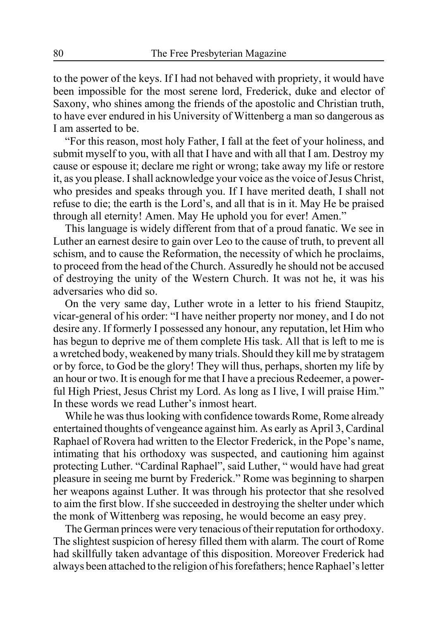to the power of the keys. If I had not behaved with propriety, it would have been impossible for the most serene lord, Frederick, duke and elector of Saxony, who shines among the friends of the apostolic and Christian truth, to have ever endured in his University of Wittenberg a man so dangerous as I am asserted to be.

"For this reason, most holy Father, I fall at the feet of your holiness, and submit myself to you, with all that I have and with all that I am. Destroy my cause or espouse it; declare me right or wrong; take away my life or restore it, as you please. I shall acknowledge your voice as the voice of Jesus Christ, who presides and speaks through you. If I have merited death, I shall not refuse to die; the earth is the Lord's, and all that is in it. May He be praised through all eternity! Amen. May He uphold you for ever! Amen."

This language is widely different from that of a proud fanatic. We see in Luther an earnest desire to gain over Leo to the cause of truth, to prevent all schism, and to cause the Reformation, the necessity of which he proclaims, to proceed from the head of the Church. Assuredly he should not be accused of destroying the unity of the Western Church. It was not he, it was his adversaries who did so.

On the very same day, Luther wrote in a letter to his friend Staupitz, vicar-general of his order: "I have neither property nor money, and I do not desire any. If formerly I possessed any honour, any reputation, let Him who has begun to deprive me of them complete His task. All that is left to me is a wretched body, weakened by many trials. Should they kill me by stratagem or by force, to God be the glory! They will thus, perhaps, shorten my life by an hour or two. It is enough for me that I have a precious Redeemer, a powerful High Priest, Jesus Christ my Lord. As long as I live, I will praise Him." In these words we read Luther's inmost heart.

While he was thus looking with confidence towards Rome, Rome already entertained thoughts of vengeance against him. As early as April 3, Cardinal Raphael of Rovera had written to the Elector Frederick, in the Pope's name, intimating that his orthodoxy was suspected, and cautioning him against protecting Luther. "Cardinal Raphael", said Luther, " would have had great pleasure in seeing me burnt by Frederick." Rome was beginning to sharpen her weapons against Luther. It was through his protector that she resolved to aim the first blow. If she succeeded in destroying the shelter under which the monk of Wittenberg was reposing, he would become an easy prey.

The German princes were very tenacious of their reputation for orthodoxy. The slightest suspicion of heresy filled them with alarm. The court of Rome had skillfully taken advantage of this disposition. Moreover Frederick had always been attached to the religion of his forefathers; hence Raphael's letter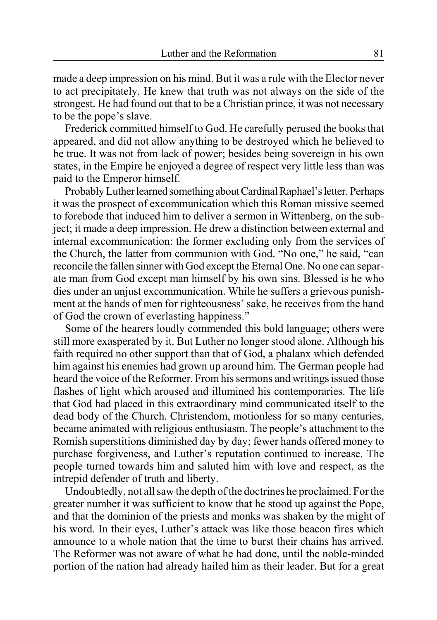made a deep impression on his mind. But it was a rule with the Elector never to act precipitately. He knew that truth was not always on the side of the strongest. He had found out that to be a Christian prince, it was not necessary to be the pope's slave.

Frederick committed himself to God. He carefully perused the books that appeared, and did not allow anything to be destroyed which he believed to be true. It was not from lack of power; besides being sovereign in his own states, in the Empire he enjoyed a degree of respect very little less than was paid to the Emperor himself.

Probably Luther learned something about Cardinal Raphael's letter. Perhaps it was the prospect of excommunication which this Roman missive seemed to forebode that induced him to deliver a sermon in Wittenberg, on the subject; it made a deep impression. He drew a distinction between external and internal excommunication: the former excluding only from the services of the Church, the latter from communion with God. "No one," he said, "can reconcile the fallen sinner with God except the Eternal One. No one can separate man from God except man himself by his own sins. Blessed is he who dies under an unjust excommunication. While he suffers a grievous punishment at the hands of men for righteousness' sake, he receives from the hand of God the crown of everlasting happiness."

Some of the hearers loudly commended this bold language; others were still more exasperated by it. But Luther no longer stood alone. Although his faith required no other support than that of God, a phalanx which defended him against his enemies had grown up around him. The German people had heard the voice of the Reformer. From his sermons and writings issued those flashes of light which aroused and illumined his contemporaries. The life that God had placed in this extraordinary mind communicated itself to the dead body of the Church. Christendom, motionless for so many centuries, became animated with religious enthusiasm. The people's attachment to the Romish superstitions diminished day by day; fewer hands offered money to purchase forgiveness, and Luther's reputation continued to increase. The people turned towards him and saluted him with love and respect, as the intrepid defender of truth and liberty.

Undoubtedly, not all saw the depth of the doctrines he proclaimed. For the greater number it was sufficient to know that he stood up against the Pope, and that the dominion of the priests and monks was shaken by the might of his word. In their eyes, Luther's attack was like those beacon fires which announce to a whole nation that the time to burst their chains has arrived. The Reformer was not aware of what he had done, until the noble-minded portion of the nation had already hailed him as their leader. But for a great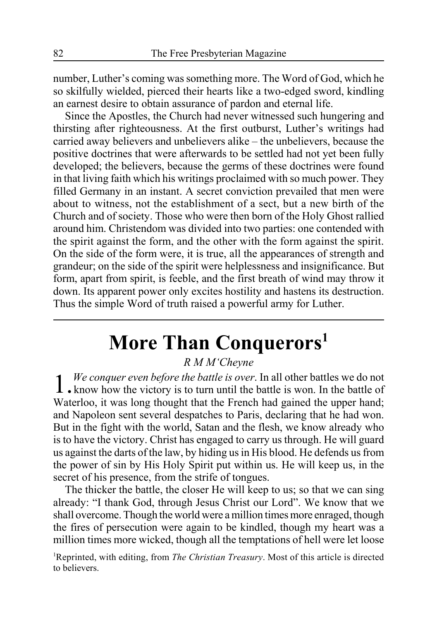number, Luther's coming was something more. The Word of God, which he so skilfully wielded, pierced their hearts like a two-edged sword, kindling an earnest desire to obtain assurance of pardon and eternal life.

Since the Apostles, the Church had never witnessed such hungering and thirsting after righteousness. At the first outburst, Luther's writings had carried away believers and unbelievers alike – the unbelievers, because the positive doctrines that were afterwards to be settled had not yet been fully developed; the believers, because the germs of these doctrines were found in that living faith which his writings proclaimed with so much power. They filled Germany in an instant. A secret conviction prevailed that men were about to witness, not the establishment of a sect, but a new birth of the Church and of society. Those who were then born of the Holy Ghost rallied around him. Christendom was divided into two parties: one contended with the spirit against the form, and the other with the form against the spirit. On the side of the form were, it is true, all the appearances of strength and grandeur; on the side of the spirit were helplessness and insignificance. But form, apart from spirit, is feeble, and the first breath of wind may throw it down. Its apparent power only excites hostility and hastens its destruction. Thus the simple Word of truth raised a powerful army for Luther.

# **More Than Conquerors1**

*R M M'Cheyne*

1. We conquer even before the battle is over. In all other battles we do not **.** know how the victory is to turn until the battle is won. In the battle of Waterloo, it was long thought that the French had gained the upper hand; and Napoleon sent several despatches to Paris, declaring that he had won. But in the fight with the world, Satan and the flesh, we know already who is to have the victory. Christ has engaged to carry us through. He will guard us against the darts of the law, by hiding us in His blood. He defends us from the power of sin by His Holy Spirit put within us. He will keep us, in the secret of his presence, from the strife of tongues.

The thicker the battle, the closer He will keep to us; so that we can sing already: "I thank God, through Jesus Christ our Lord". We know that we shall overcome. Though the world were a million times more enraged, though the fires of persecution were again to be kindled, though my heart was a million times more wicked, though all the temptations of hell were let loose

<sup>1</sup>Reprinted, with editing, from *The Christian Treasury*. Most of this article is directed to believers.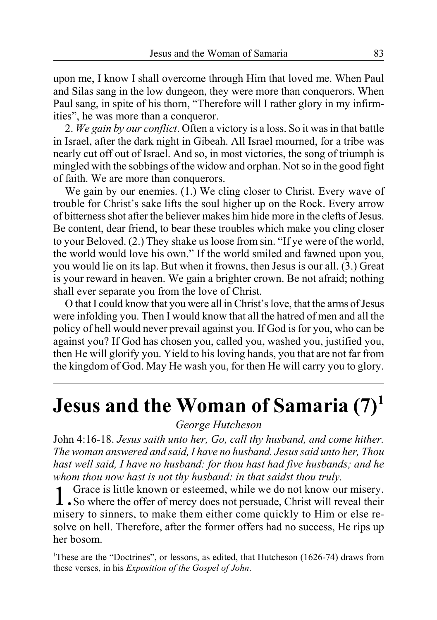upon me, I know I shall overcome through Him that loved me. When Paul and Silas sang in the low dungeon, they were more than conquerors. When Paul sang, in spite of his thorn, "Therefore will I rather glory in my infirmities", he was more than a conqueror.

2. *We gain by our conflict*. Often a victory is a loss. So it was in that battle in Israel, after the dark night in Gibeah. All Israel mourned, for a tribe was nearly cut off out of Israel. And so, in most victories, the song of triumph is mingled with the sobbings of the widow and orphan. Not so in the good fight of faith. We are more than conquerors.

We gain by our enemies. (1.) We cling closer to Christ. Every wave of trouble for Christ's sake lifts the soul higher up on the Rock. Every arrow of bitterness shot after the believer makes him hide more in the clefts of Jesus. Be content, dear friend, to bear these troubles which make you cling closer to your Beloved. (2.) They shake us loose from sin. "If ye were of the world, the world would love his own." If the world smiled and fawned upon you, you would lie on its lap. But when it frowns, then Jesus is our all. (3.) Great is your reward in heaven. We gain a brighter crown. Be not afraid; nothing shall ever separate you from the love of Christ.

O that I could know that you were all in Christ's love, that the arms of Jesus were infolding you. Then I would know that all the hatred of men and all the policy of hell would never prevail against you. If God is for you, who can be against you? If God has chosen you, called you, washed you, justified you, then He will glorify you. Yield to his loving hands, you that are not far from the kingdom of God. May He wash you, for then He will carry you to glory.

# **Jesus and the Woman of Samaria (7)1**

### *George Hutcheson*

John 4:16-18. *Jesus saith unto her, Go, call thy husband, and come hither. The woman answered and said, I have no husband. Jesus said unto her, Thou hast well said, I have no husband: for thou hast had five husbands; and he whom thou now hast is not thy husband: in that saidst thou truly.*

1.Grace is little known or esteemed, while we do not know our misery. So where the offer of mercy does not persuade, Christ will reveal their misery to sinners, to make them either come quickly to Him or else resolve on hell. Therefore, after the former offers had no success, He rips up her bosom.

<sup>1</sup>These are the "Doctrines", or lessons, as edited, that Hutcheson (1626-74) draws from these verses, in his *Exposition of the Gospel of John*.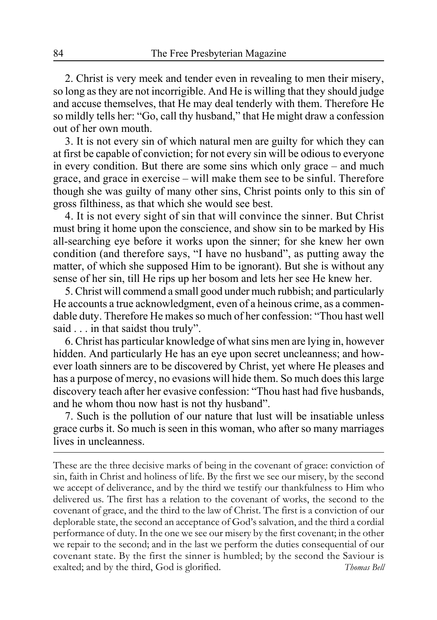2. Christ is very meek and tender even in revealing to men their misery, so long as they are not incorrigible. And He is willing that they should judge and accuse themselves, that He may deal tenderly with them. Therefore He so mildly tells her: "Go, call thy husband," that He might draw a confession out of her own mouth.

3. It is not every sin of which natural men are guilty for which they can at first be capable of conviction; for not every sin will be odious to everyone in every condition. But there are some sins which only grace – and much grace, and grace in exercise – will make them see to be sinful. Therefore though she was guilty of many other sins, Christ points only to this sin of gross filthiness, as that which she would see best.

4. It is not every sight of sin that will convince the sinner. But Christ must bring it home upon the conscience, and show sin to be marked by His all-searching eye before it works upon the sinner; for she knew her own condition (and therefore says, "I have no husband", as putting away the matter, of which she supposed Him to be ignorant). But she is without any sense of her sin, till He rips up her bosom and lets her see He knew her.

5. Christ will commend a small good under much rubbish; and particularly He accounts a true acknowledgment, even of a heinous crime, as a commendable duty. Therefore He makes so much of her confession: "Thou hast well said . . . in that saidst thou truly".

6. Christ has particular knowledge of what sins men are lying in, however hidden. And particularly He has an eye upon secret uncleanness; and however loath sinners are to be discovered by Christ, yet where He pleases and has a purpose of mercy, no evasions will hide them. So much does this large discovery teach after her evasive confession: "Thou hast had five husbands, and he whom thou now hast is not thy husband".

7. Such is the pollution of our nature that lust will be insatiable unless grace curbs it. So much is seen in this woman, who after so many marriages lives in uncleanness.

These are the three decisive marks of being in the covenant of grace: conviction of sin, faith in Christ and holiness of life. By the first we see our misery, by the second we accept of deliverance, and by the third we testify our thankfulness to Him who delivered us. The first has a relation to the covenant of works, the second to the covenant of grace, and the third to the law of Christ. The first is a conviction of our deplorable state, the second an acceptance of God's salvation, and the third a cordial performance of duty. In the one we see our misery by the first covenant; in the other we repair to the second; and in the last we perform the duties consequential of our covenant state. By the first the sinner is humbled; by the second the Saviour is exalted; and by the third, God is glorified. *Thomas Bell*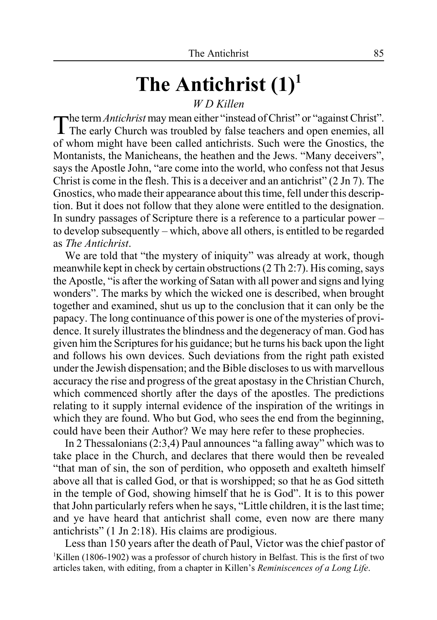# **The Antichrist (1)1**

# *W D Killen*

The term *Antichrist* may mean either "instead of Christ" or "against Christ". **T** The early Church was troubled by false teachers and open enemies, all of whom might have been called antichrists. Such were the Gnostics, the Montanists, the Manicheans, the heathen and the Jews. "Many deceivers", says the Apostle John, "are come into the world, who confess not that Jesus Christ is come in the flesh. This is a deceiver and an antichrist" (2 Jn 7). The Gnostics, who made their appearance about this time, fell under this description. But it does not follow that they alone were entitled to the designation. In sundry passages of Scripture there is a reference to a particular power – to develop subsequently – which, above all others, is entitled to be regarded as *The Antichrist*.

We are told that "the mystery of iniquity" was already at work, though meanwhile kept in check by certain obstructions (2 Th 2:7). His coming, says the Apostle, "is after the working of Satan with all power and signs and lying wonders". The marks by which the wicked one is described, when brought together and examined, shut us up to the conclusion that it can only be the papacy. The long continuance of this power is one of the mysteries of providence. It surely illustrates the blindness and the degeneracy of man. God has given him the Scriptures for his guidance; but he turns his back upon the light and follows his own devices. Such deviations from the right path existed under the Jewish dispensation; and the Bible discloses to us with marvellous accuracy the rise and progress of the great apostasy in the Christian Church, which commenced shortly after the days of the apostles. The predictions relating to it supply internal evidence of the inspiration of the writings in which they are found. Who but God, who sees the end from the beginning, could have been their Author? We may here refer to these prophecies.

In 2 Thessalonians (2:3,4) Paul announces "a falling away" which was to take place in the Church, and declares that there would then be revealed "that man of sin, the son of perdition, who opposeth and exalteth himself above all that is called God, or that is worshipped; so that he as God sitteth in the temple of God, showing himself that he is God". It is to this power that John particularly refers when he says, "Little children, it is the last time; and ye have heard that antichrist shall come, even now are there many antichrists" (1 Jn 2:18). His claims are prodigious.

Less than 150 years after the death of Paul, Victor was the chief pastor of <sup>1</sup>Killen (1806-1902) was a professor of church history in Belfast. This is the first of two articles taken, with editing, from a chapter in Killen's *Reminiscences of a Long Life*.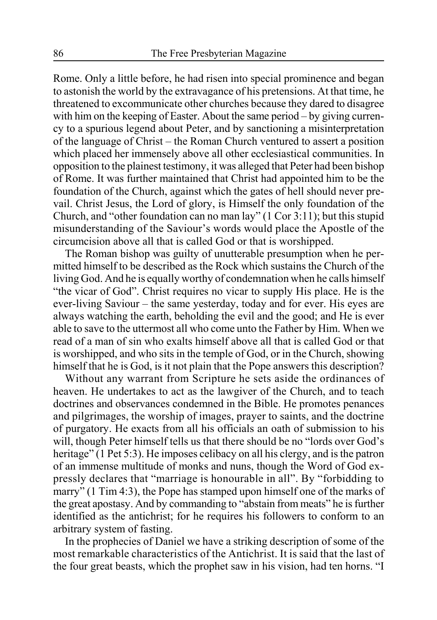Rome. Only a little before, he had risen into special prominence and began to astonish the world by the extravagance of his pretensions. At that time, he threatened to excommunicate other churches because they dared to disagree with him on the keeping of Easter. About the same period – by giving currency to a spurious legend about Peter, and by sanctioning a misinterpretation of the language of Christ – the Roman Church ventured to assert a position which placed her immensely above all other ecclesiastical communities. In opposition to the plainest testimony, it was alleged that Peter had been bishop of Rome. It was further maintained that Christ had appointed him to be the foundation of the Church, against which the gates of hell should never prevail. Christ Jesus, the Lord of glory, is Himself the only foundation of the Church, and "other foundation can no man lay" (1 Cor 3:11); but this stupid misunderstanding of the Saviour's words would place the Apostle of the circumcision above all that is called God or that is worshipped.

The Roman bishop was guilty of unutterable presumption when he permitted himself to be described as the Rock which sustains the Church of the living God. And he is equally worthy of condemnation when he calls himself "the vicar of God". Christ requires no vicar to supply His place. He is the ever-living Saviour – the same yesterday, today and for ever. His eyes are always watching the earth, beholding the evil and the good; and He is ever able to save to the uttermost all who come unto the Father by Him. When we read of a man of sin who exalts himself above all that is called God or that is worshipped, and who sits in the temple of God, or in the Church, showing himself that he is God, is it not plain that the Pope answers this description?

Without any warrant from Scripture he sets aside the ordinances of heaven. He undertakes to act as the lawgiver of the Church, and to teach doctrines and observances condemned in the Bible. He promotes penances and pilgrimages, the worship of images, prayer to saints, and the doctrine of purgatory. He exacts from all his officials an oath of submission to his will, though Peter himself tells us that there should be no "lords over God's heritage" (1 Pet 5:3). He imposes celibacy on all his clergy, and is the patron of an immense multitude of monks and nuns, though the Word of God expressly declares that "marriage is honourable in all". By "forbidding to marry" (1 Tim 4:3), the Pope has stamped upon himself one of the marks of the great apostasy. And by commanding to "abstain from meats" he is further identified as the antichrist; for he requires his followers to conform to an arbitrary system of fasting.

In the prophecies of Daniel we have a striking description of some of the most remarkable characteristics of the Antichrist. It is said that the last of the four great beasts, which the prophet saw in his vision, had ten horns. "I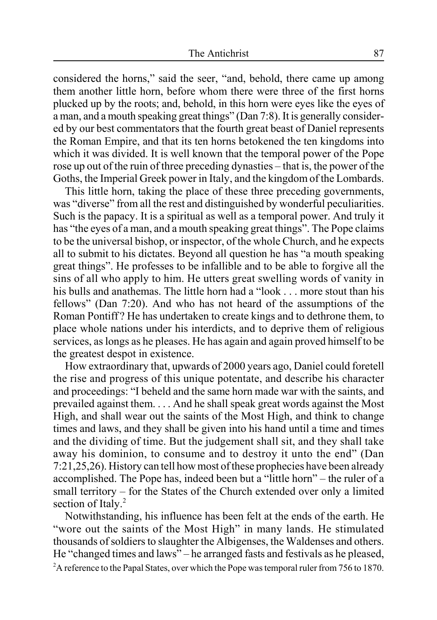considered the horns," said the seer, "and, behold, there came up among them another little horn, before whom there were three of the first horns plucked up by the roots; and, behold, in this horn were eyes like the eyes of a man, and a mouth speaking great things" (Dan 7:8). It is generally considered by our best commentators that the fourth great beast of Daniel represents the Roman Empire, and that its ten horns betokened the ten kingdoms into which it was divided. It is well known that the temporal power of the Pope rose up out of the ruin of three preceding dynasties – that is, the power of the Goths, the Imperial Greek power in Italy, and the kingdom of the Lombards.

This little horn, taking the place of these three preceding governments, was "diverse" from all the rest and distinguished by wonderful peculiarities. Such is the papacy. It is a spiritual as well as a temporal power. And truly it has "the eyes of a man, and a mouth speaking great things". The Pope claims to be the universal bishop, or inspector, of the whole Church, and he expects all to submit to his dictates. Beyond all question he has "a mouth speaking great things". He professes to be infallible and to be able to forgive all the sins of all who apply to him. He utters great swelling words of vanity in his bulls and anathemas. The little horn had a "look . . . more stout than his fellows" (Dan 7:20). And who has not heard of the assumptions of the Roman Pontiff ? He has undertaken to create kings and to dethrone them, to place whole nations under his interdicts, and to deprive them of religious services, as longs as he pleases. He has again and again proved himself to be the greatest despot in existence.

How extraordinary that, upwards of 2000 years ago, Daniel could foretell the rise and progress of this unique potentate, and describe his character and proceedings: "I beheld and the same horn made war with the saints, and prevailed against them. . . . And he shall speak great words against the Most High, and shall wear out the saints of the Most High, and think to change times and laws, and they shall be given into his hand until a time and times and the dividing of time. But the judgement shall sit, and they shall take away his dominion, to consume and to destroy it unto the end" (Dan 7:21,25,26). History can tell how most of these prophecies have been already accomplished. The Pope has, indeed been but a "little horn" – the ruler of a small territory – for the States of the Church extended over only a limited section of Italy.<sup>2</sup>

Notwithstanding, his influence has been felt at the ends of the earth. He "wore out the saints of the Most High" in many lands. He stimulated thousands of soldiers to slaughter the Albigenses, the Waldenses and others. He "changed times and laws" – he arranged fasts and festivals as he pleased, <sup>2</sup>A reference to the Papal States, over which the Pope was temporal ruler from 756 to 1870.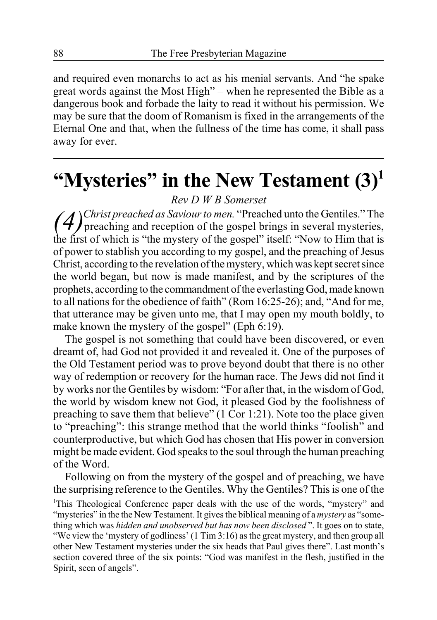and required even monarchs to act as his menial servants. And "he spake great words against the Most High" – when he represented the Bible as a dangerous book and forbade the laity to read it without his permission. We may be sure that the doom of Romanism is fixed in the arrangements of the Eternal One and that, when the fullness of the time has come, it shall pass away for ever.

# **"Mysteries" in the New Testament (3)1**

## *Rev D W B Somerset*

*(4)Christ preached as Saviour to men.* "Preached unto the Gentiles." The preaching and reception of the gospel brings in several mysteries, the first of which is "the mystery of the gospel" itself: "Now to Him that is of power to stablish you according to my gospel, and the preaching of Jesus Christ, according to the revelation of the mystery, which was kept secret since the world began, but now is made manifest, and by the scriptures of the prophets, according to the commandment of the everlasting God, made known to all nations for the obedience of faith" (Rom 16:25-26); and, "And for me, that utterance may be given unto me, that I may open my mouth boldly, to make known the mystery of the gospel" (Eph 6:19).

The gospel is not something that could have been discovered, or even dreamt of, had God not provided it and revealed it. One of the purposes of the Old Testament period was to prove beyond doubt that there is no other way of redemption or recovery for the human race. The Jews did not find it by works nor the Gentiles by wisdom: "For after that, in the wisdom of God, the world by wisdom knew not God, it pleased God by the foolishness of preaching to save them that believe" (1 Cor 1:21). Note too the place given to "preaching": this strange method that the world thinks "foolish" and counterproductive, but which God has chosen that His power in conversion might be made evident. God speaks to the soul through the human preaching of the Word.

Following on from the mystery of the gospel and of preaching, we have the surprising reference to the Gentiles. Why the Gentiles? This is one of the

<sup>1</sup>This Theological Conference paper deals with the use of the words, "mystery" and "mysteries" in the the New Testament. It gives the biblical meaning of a *mystery* as "something which was *hidden and unobserved but has now been disclosed* ". It goes on to state, "We view the 'mystery of godliness' (1 Tim 3:16) as the great mystery, and then group all other New Testament mysteries under the six heads that Paul gives there". Last month's section covered three of the six points: "God was manifest in the flesh, justified in the Spirit, seen of angels".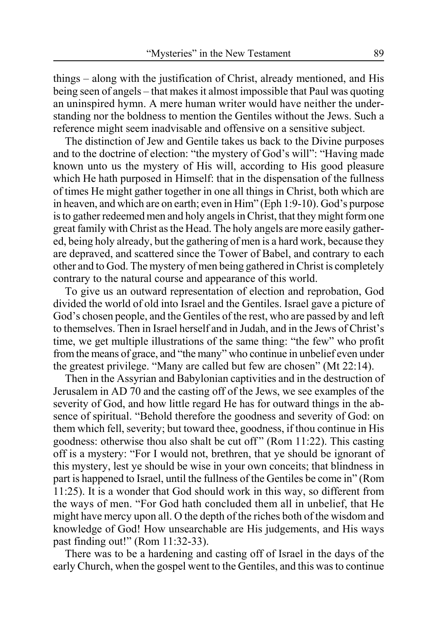things – along with the justification of Christ, already mentioned, and His being seen of angels – that makes it almost impossible that Paul was quoting an uninspired hymn. A mere human writer would have neither the understanding nor the boldness to mention the Gentiles without the Jews. Such a reference might seem inadvisable and offensive on a sensitive subject.

The distinction of Jew and Gentile takes us back to the Divine purposes and to the doctrine of election: "the mystery of God's will": "Having made known unto us the mystery of His will, according to His good pleasure which He hath purposed in Himself: that in the dispensation of the fullness of times He might gather together in one all things in Christ, both which are in heaven, and which are on earth; even in Him" (Eph 1:9-10). God's purpose is to gather redeemed men and holy angels in Christ, that they might form one great family with Christ as the Head. The holy angels are more easily gathered, being holy already, but the gathering of men is a hard work, because they are depraved, and scattered since the Tower of Babel, and contrary to each other and to God. The mystery of men being gathered in Christ is completely contrary to the natural course and appearance of this world.

To give us an outward representation of election and reprobation, God divided the world of old into Israel and the Gentiles. Israel gave a picture of God's chosen people, and the Gentiles of the rest, who are passed by and left to themselves. Then in Israel herself and in Judah, and in the Jews of Christ's time, we get multiple illustrations of the same thing: "the few" who profit from the means of grace, and "the many" who continue in unbelief even under the greatest privilege. "Many are called but few are chosen" (Mt 22:14).

Then in the Assyrian and Babylonian captivities and in the destruction of Jerusalem in AD 70 and the casting off of the Jews, we see examples of the severity of God, and how little regard He has for outward things in the absence of spiritual. "Behold therefore the goodness and severity of God: on them which fell, severity; but toward thee, goodness, if thou continue in His goodness: otherwise thou also shalt be cut off " (Rom 11:22). This casting off is a mystery: "For I would not, brethren, that ye should be ignorant of this mystery, lest ye should be wise in your own conceits; that blindness in part is happened to Israel, until the fullness of the Gentiles be come in" (Rom 11:25). It is a wonder that God should work in this way, so different from the ways of men. "For God hath concluded them all in unbelief, that He might have mercy upon all. O the depth of the riches both of the wisdom and knowledge of God! How unsearchable are His judgements, and His ways past finding out!" (Rom 11:32-33).

There was to be a hardening and casting off of Israel in the days of the early Church, when the gospel went to the Gentiles, and this was to continue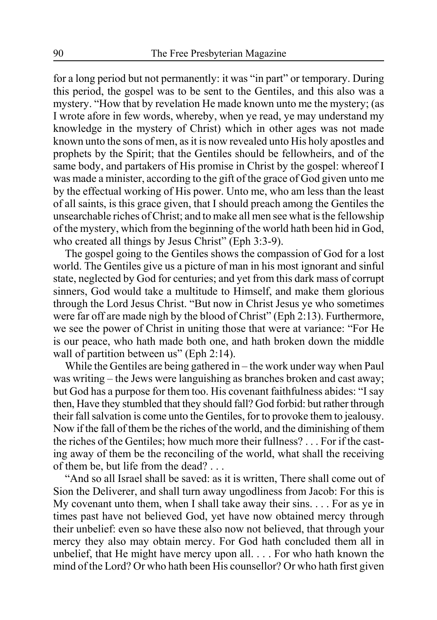for a long period but not permanently: it was "in part" or temporary. During this period, the gospel was to be sent to the Gentiles, and this also was a mystery. "How that by revelation He made known unto me the mystery; (as I wrote afore in few words, whereby, when ye read, ye may understand my knowledge in the mystery of Christ) which in other ages was not made known unto the sons of men, as it is now revealed unto His holy apostles and prophets by the Spirit; that the Gentiles should be fellowheirs, and of the same body, and partakers of His promise in Christ by the gospel: whereof I was made a minister, according to the gift of the grace of God given unto me by the effectual working of His power. Unto me, who am less than the least of all saints, is this grace given, that I should preach among the Gentiles the unsearchable riches of Christ; and to make all men see what is the fellowship of the mystery, which from the beginning of the world hath been hid in God, who created all things by Jesus Christ" (Eph 3:3-9).

The gospel going to the Gentiles shows the compassion of God for a lost world. The Gentiles give us a picture of man in his most ignorant and sinful state, neglected by God for centuries; and yet from this dark mass of corrupt sinners, God would take a multitude to Himself, and make them glorious through the Lord Jesus Christ. "But now in Christ Jesus ye who sometimes were far off are made nigh by the blood of Christ" (Eph 2:13). Furthermore, we see the power of Christ in uniting those that were at variance: "For He is our peace, who hath made both one, and hath broken down the middle wall of partition between us" (Eph 2:14).

While the Gentiles are being gathered in – the work under way when Paul was writing – the Jews were languishing as branches broken and cast away; but God has a purpose for them too. His covenant faithfulness abides: "I say then, Have they stumbled that they should fall? God forbid: but rather through their fall salvation is come unto the Gentiles, for to provoke them to jealousy. Now if the fall of them be the riches of the world, and the diminishing of them the riches of the Gentiles; how much more their fullness? . . . For if the casting away of them be the reconciling of the world, what shall the receiving of them be, but life from the dead? . . .

"And so all Israel shall be saved: as it is written, There shall come out of Sion the Deliverer, and shall turn away ungodliness from Jacob: For this is My covenant unto them, when I shall take away their sins. . . . For as ye in times past have not believed God, yet have now obtained mercy through their unbelief: even so have these also now not believed, that through your mercy they also may obtain mercy. For God hath concluded them all in unbelief, that He might have mercy upon all. . . . For who hath known the mind of the Lord? Or who hath been His counsellor? Or who hath first given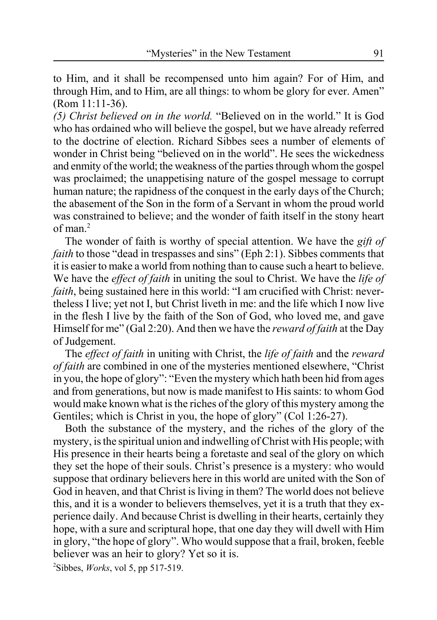to Him, and it shall be recompensed unto him again? For of Him, and through Him, and to Him, are all things: to whom be glory for ever. Amen" (Rom 11:11-36).

*(5) Christ believed on in the world.* "Believed on in the world." It is God who has ordained who will believe the gospel, but we have already referred to the doctrine of election. Richard Sibbes sees a number of elements of wonder in Christ being "believed on in the world". He sees the wickedness and enmity of the world; the weakness of the parties through whom the gospel was proclaimed; the unappetising nature of the gospel message to corrupt human nature; the rapidness of the conquest in the early days of the Church; the abasement of the Son in the form of a Servant in whom the proud world was constrained to believe; and the wonder of faith itself in the stony heart of man $^2$ 

The wonder of faith is worthy of special attention. We have the *gift of faith* to those "dead in trespasses and sins" (Eph 2:1). Sibbes comments that it is easier to make a world from nothing than to cause such a heart to believe. We have the *effect of faith* in uniting the soul to Christ. We have the *life of faith*, being sustained here in this world: "I am crucified with Christ: nevertheless I live; yet not I, but Christ liveth in me: and the life which I now live in the flesh I live by the faith of the Son of God, who loved me, and gave Himself for me" (Gal 2:20). And then we have the *reward of faith* at the Day of Judgement.

The *effect of faith* in uniting with Christ, the *life of faith* and the *reward of faith* are combined in one of the mysteries mentioned elsewhere, "Christ in you, the hope of glory": "Even the mystery which hath been hid from ages and from generations, but now is made manifest to His saints: to whom God would make known what is the riches of the glory of this mystery among the Gentiles; which is Christ in you, the hope of glory" (Col 1:26-27).

Both the substance of the mystery, and the riches of the glory of the mystery, is the spiritual union and indwelling of Christ with His people; with His presence in their hearts being a foretaste and seal of the glory on which they set the hope of their souls. Christ's presence is a mystery: who would suppose that ordinary believers here in this world are united with the Son of God in heaven, and that Christ is living in them? The world does not believe this, and it is a wonder to believers themselves, yet it is a truth that they experience daily. And because Christ is dwelling in their hearts, certainly they hope, with a sure and scriptural hope, that one day they will dwell with Him in glory, "the hope of glory". Who would suppose that a frail, broken, feeble believer was an heir to glory? Yet so it is. 2 Sibbes, *Works*, vol 5, pp 517-519.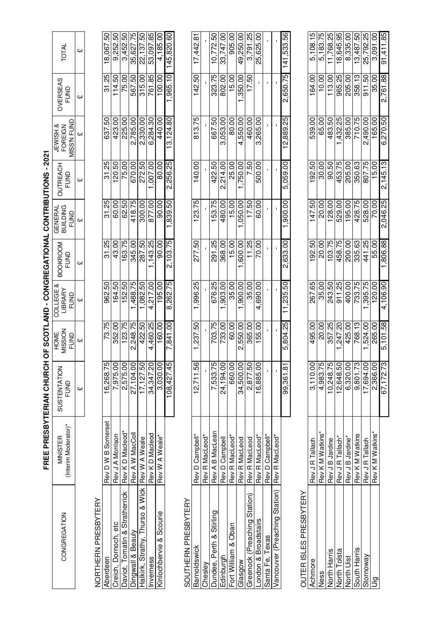| CONGREGATION                       | (Interim Moderator)*<br><b>MINISTER</b> | SUSTENTATION<br><b>FUND</b> | MISSION<br>HOME<br><b>FUND</b> | COLLEGE &<br>LIBRARY<br>FUND | <b>BOOKROOM</b><br><b>FUND</b> | BUILDING<br>GENERAL<br>FUND | OUTREACH<br>FUND | <b>MISS'N FUND</b><br><b>JEWISH &amp;</b><br>FOREIGN | OVERSEAS<br>FUND | TOTAL      |
|------------------------------------|-----------------------------------------|-----------------------------|--------------------------------|------------------------------|--------------------------------|-----------------------------|------------------|------------------------------------------------------|------------------|------------|
|                                    |                                         | £                           | CH)                            | CH)                          | C,                             | GH                          | Ğ                | Ğ                                                    | CH)              | CH)        |
|                                    |                                         |                             |                                |                              |                                |                             |                  |                                                      |                  |            |
| <b>VORTHERN PRESBYTERY</b>         |                                         |                             |                                |                              |                                |                             |                  |                                                      |                  |            |
| Aberdeen                           | Rev D W B Somerset                      | 16,268.75                   | 73.75                          | 962.50                       | 31.25                          | 31.25                       | 31.25            | 637.50                                               | 31.25            | 18,067.50  |
| Creich, Dornoch, etc               | Rev J A Morrison                        | 7,975.00                    | 352.00                         | 164.50                       | 43.00                          | 60.00                       | 20.50            | 423.00                                               | 114.50           | 9,252.50   |
| Daviot, Tomatin & Stratherrick     | Rev KD Macleod*                         | 2,575.00                    | 123.75                         | 152.50                       | 163.75                         | 62.50                       | 75.00            | 225.00                                               | 75.00            | 3,452.50   |
| Dingwall & Beauly                  | Rev A W MacColl                         | 27,104.00                   | 2.248.75                       | ,488.75                      | 345.00                         | 418.75                      | 670.00           | 2.785.00                                             | 567.50           | 35,627.75  |
| ιš<br>Halkirk, Strathy, Thurso & W | Rev W A Weale                           | 17, 127.50                  | 422.50                         | 1,082.50                     | 287.50                         | 300.00                      | 272.50           | 2,330.00                                             | 315.00           | 22,137.50  |
| nverness                           | Rev K D Macleod                         | 34, 347.20                  | 4,460.25                       | 4,217.00                     | 1,143.25                       | 877.00                      | 007.00           | 6,284.30                                             | 761.85           | 53,097.85  |
| Kinlochbervie & Scourie            | Rev W A Weale*                          | 3,030.00                    | 160.00                         | 195.00                       | 90.00                          | 90.00                       | 80.00            | 440.00                                               | 100.00           | 4,185.00   |
|                                    |                                         | 08,427.45                   | 7,841.00                       | 8,262.75                     | 2,103.75                       | 05'688'                     | 2,256.25         | 13,124.80                                            | .965.10          | 145,820.60 |
| SOUTHERN PRESBYTERY                |                                         |                             |                                |                              |                                |                             |                  |                                                      |                  |            |
| Barnoldswick                       | Rev D Campbell*                         | 12,711.56                   | 1,237.50                       | 1,996.25                     | 277.50                         | 123.75                      | 140.00           | 813.75                                               | 142.50           | 17,442.8   |
| Chesley                            | Rev R MacLeod*                          |                             |                                |                              |                                |                             |                  |                                                      |                  |            |
| Dundee, Perth & Stirling           | Rev A B MacLean                         | 7,533.75                    | 703.75                         | 676.25                       | 291.25                         | 153.75                      | 422.50           | 667.50                                               | 323.75           | 10,772.50  |
| Edinburgh                          | Rev D Campbell                          | 24,194.00                   | 733.00                         | 903.00                       | 368.00                         | 480.00                      | 2.214.00         | 3,053.00                                             | 802.00           | 33,747.00  |
| Fort William & Oban                | Rev R MacLeod*                          | 660.00                      | 60.00                          | 35.00                        | 15.00                          | 15.00                       | 25.00            | 80.00                                                | 15.00            | 905.00     |
| Glasgow                            | Rev R MacLeod                           | 34,500.00                   | 2,550.00                       | ,900.00                      | ,600.00                        | 050.00                      | ,750.00          | 4,550.00                                             | ,350.00          | 49,250.00  |
| Greenock (Preaching Station        | <b>Rev R MacLeod</b>                    | 2.877.50                    | 365.00                         | 35.00                        | 11.25                          | 17.50                       | 7.50             | 460.00                                               | 17.50            | 3,791.25   |
| London & Broadstairs               | Rev R MacLeod*                          | 16,885.00                   | 155.00                         | 4,690.00                     | 70.00                          | 60.00                       | 500.00           | 3,265.00                                             |                  | 25,625.00  |
| Santa Fe, Texas                    | Rev D Campbell*                         |                             |                                |                              |                                |                             |                  |                                                      |                  |            |
| Vancouver (Preaching Station)      | Rev R MacLeod*                          |                             |                                |                              |                                |                             |                  |                                                      |                  |            |
|                                    |                                         | 99,361.81                   | 5,804.25                       | 11,235.50                    | 2,633.00                       | 1,900.00                    | 5,059.00         | 12,889.25                                            | 2,650.75         | 141,533.56 |
| OUTER ISLES PRESBYTERY             |                                         |                             |                                |                              |                                |                             |                  |                                                      |                  |            |
|                                    |                                         |                             |                                |                              |                                |                             |                  |                                                      |                  |            |
| Achmore                            | Rev J R Tallach                         | 3,110.00                    | 495.00                         | 267.65                       | 192.50                         | 147.50                      | 192.50           | 539.00                                               | 164.00           | 5,108.15   |
| Ness                               | Rev K M Watkins*                        | 4,983.75                    | 20.00                          | 35.00                        | 20.00                          | 20.00                       | 30.00            | 65.00                                                | 10.00            | 5,183.75   |
| North Harris                       | Rev J B Jardine                         | 10,248.75                   | 357.25                         | 243.50                       | 103.75                         | 128.00                      | 90.50            | 483.50                                               | 113.00           | 1,768.25   |
| North Tolsta                       | Rev J R Tallach*                        | 2,648.50                    | 247.20                         | 911.25                       | 458.75                         | 529.00                      | 453.75           | ,432.25                                              | 965.25           | 18,645.95  |
| North Uist                         | Rev J B Jardine*                        | 6,320.00                    | 425.00                         | 400.00                       | 200.00                         | 195.00                      | 205.00           | 385.00                                               | 205.00           | 8,335.00   |
| South Harris                       | Rev KM Watkins                          | 9.801.73                    | 768.13                         | 733.75                       | 335.63                         | 428.75                      | 350.63           | 710.75                                               | 358.13           | 13,487.50  |
| Stornoway                          | Rev J R Tallach                         | 17,694.00                   | 524.00                         | .395.75                      | 441.25                         | 528.00                      | 807.75           | 2,490.00                                             | 911.50           | 25,792.25  |

Stornoway Rev J Rahalach 17,694.00 1,524.00 1,395.75 441.25 528.00 807.75 2,490.00 911.50 25,792.25 Uig Rev K M Watkins\* 2,366.00 265.00 120.00 55.00 70.00 15.00 165.00 35.00 3,091.00

17,694.00 2,366.00 67,172.73

"<br>Rev K M Watkins<br>Rev J R Tallach

lig

67,172.73 5,101.58 4,106.90 1,806.88 2,046.25 2,145.13 6,270.50 2,761.88 91,411.85

70.00 00'829

55.00 441.25

 $\frac{120.00}{4,106.90}$ 1,395.75

265.00 5,101.58 ,524.00

91,411.85 25,792.25 3,091.00

35.00 09'116 2,761.88

165.00 2,490.00 6,270.50

807.75 15.00 2,145.13

# FREE PRESBYTERIAN CHURCH OF SCOTLAND - CONGREGATIONAL CONTRIBUTIONS - 2021 **FREE PRESBYTERIAN CHURCH OF SCOTLAND - CONGREGATIONAL CONTRIBUTIONS - 2021**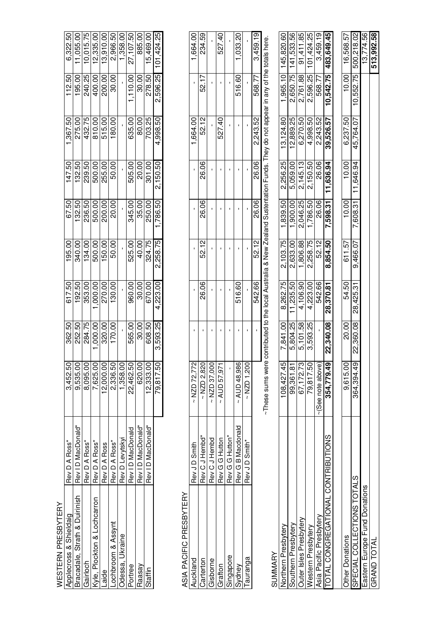| plecross & Shieldai  | Rev D A Ross*                     | 3,452.50  | 362.50   | 617.50   | 195.00   | 67.50             | 147.50   | ,367.50  | 112.50   | 6,322.50   |
|----------------------|-----------------------------------|-----------|----------|----------|----------|-------------------|----------|----------|----------|------------|
| racadale, Strath & L | ID MacDonald*<br>Rev <sup>-</sup> | 9,535.00  | 252.50   | 192.50   | 340.00   | 132.50            | 132.50   | 275.00   | 195.00   | 1,055.00   |
|                      | Rev D A Ross*                     | 8,095.00  | 284.75   | 353.00   | 134.00   | 236.50            | 239.50   | 432.75   | 240.25   | 10,015.75  |
| lockton & Lochcarro  | Rev D A Ross*                     | 7,625.00  | ,000.00  | ,000.00  | 500.00   | 500.00            | 500.00   | 810.00   | 400.00   | 12,335.00  |
|                      | Rev D A Ross                      | 12,000.00 | 320.00   | 270.00   | 150.00   | 200.00            | 255.00   | 515.00   | 200.00   | 13,910.00  |
|                      | Rev D A Ross*                     | 2,336.50  | 170.00   | 130.00   | 50.00    | 20.00             | 50.00    | 180.00   | 30.00    | 2,966.50   |
| kraine<br>525        | Rev D Levytsky                    | 1,358.0   |          |          |          |                   |          |          |          | 1,358.00   |
| <b>Tree</b>          | Rev ID MacDonald                  | 22,462.50 | 565.00   | 960.00   | 525.00   | 345.00            | 505.00   | 635.00   | 1,110.00 | 27,107.50  |
| aasa                 | Rev ID MacDonald*                 | 620.00    | 30.00    | 30.00    | 40.00    | 35.0 <sup>c</sup> | 20.00    | 80.00    | 30.00    | 885.00     |
|                      | Rev ID MacDonald*                 | 12,333.00 | 608.50   | 670.00   | 324.75   | 250.00            | 301.00   | 703.25   | 278.50   | 15,469.00  |
|                      |                                   | 79,817.50 | 3,593.25 | 4,223.00 | 2,258.75 | ,786.50           | 2,150.50 | 4,998.50 | 2,596.25 | 101,424.25 |

ASIA PACIFIC PRESBYTERY ASIA PACIFIC PRESBYTERY

|          | Rev JD Smith      | $~\sim$ NZD 72.772 |        |       |       |       | 1,664.00 |        |                 |
|----------|-------------------|--------------------|--------|-------|-------|-------|----------|--------|-----------------|
|          |                   |                    |        |       |       |       |          |        | 1,664.00        |
|          | Rev CJ Hembd*     | $~\sim$ NZD 2,820  | 26.06  | 52.12 | 26.06 | 26.06 | 52.12    | 52.17  | 234.59          |
| arterton |                   |                    |        |       |       |       |          |        |                 |
| sborne   | Rev CJ Hembd      | $\sim$ NZD 37,000  |        |       |       |       |          |        |                 |
|          | Rev G G Hutton    | $~\sim$ AUD 57,971 |        |       |       |       | 527.40   |        | 527.40          |
|          | Rev G G Hutton*   |                    |        |       |       |       |          |        |                 |
|          | Rev G B Macdonald | $~\sim$ AUD 48,986 | 516.60 |       |       |       |          |        | 516.60 1,033.20 |
|          | Rev J D Smith*    | $~\sim$ NZD 1.200  |        |       |       |       |          |        |                 |
|          |                   |                    | 542.66 | 52.12 | 26.06 | 26.06 | 2,243.52 | 77.899 | 3,459.19        |
|          |                   | ľ                  |        |       |       |       |          |        |                 |

|                                                      | ~These sums were contributed to the local Australia & New Zealand Sustentation Funds. They do not appear in any of the totals here. |          |                              |          |                    |           |                    |                      |                     |
|------------------------------------------------------|-------------------------------------------------------------------------------------------------------------------------------------|----------|------------------------------|----------|--------------------|-----------|--------------------|----------------------|---------------------|
| UMMARY                                               |                                                                                                                                     |          |                              |          |                    |           |                    |                      |                     |
| orthern Presbytery                                   |                                                                                                                                     |          | 108,427.45 7,841.00 8,262.75 | 2,103.75 | 1,839.50           |           | 2,256.25 13,124.80 |                      | 1,965.10 145,820.60 |
| uthern Presbytery                                    | 99,361.81                                                                                                                           | 5,804.25 | 11,235.50                    | 2,633.00 | 1,900.00           | 5,059.00  | 12,889.25          | 2,650.75             | 141,533.56          |
| uter Isles Presbytery                                | 67, 172.73                                                                                                                          | 5,101.58 | 4,106.90                     | 1,806.88 | 2,046.25           | 2,145.13  | 6,270.50           | 2,761.88             | 91,411.85           |
| <b>Vestern Presbytery</b>                            | 79,817.50                                                                                                                           | 3,593.25 | 4,223.00                     | 2,258.75 | 1,786.50           | 2,150.50  | 4,998.50           | 2,596.25             | 101,424.25          |
| Asia Pacific Presbyter                               | $\sim$ (See note above)                                                                                                             |          | 542.66                       | 52.12    | 26.06              | 26.06     | 2,243.52           | 568.77               | 3,459.19            |
| SNOILDBILINOO <sup>-</sup><br><b>JTAL CONGREGATI</b> | 354,779.49 22,340.08 28,370.81                                                                                                      |          |                              | 8,854.50 | 7,598.31 11,636.94 |           | 39,526.57          | 10,542.75            | 483,649.45          |
|                                                      |                                                                                                                                     |          |                              |          |                    |           |                    |                      |                     |
| ther Donations                                       | 9,615.00                                                                                                                            | 20.00    | 54.50                        | 611.57   | 10.00              | 10.00     | 6,237.50           | 10.00                | 16.568.57           |
| <b>STATC</b><br>PECIAL COLLECTIONS T                 | 364,394.49 22,360.08                                                                                                                |          | 28,425.31                    | 9,466.07 | 7,608.31           | 11,646.94 | 45.764.07          | 10,552.75 500,218.02 |                     |
| guol<br>astern Europe Fund Dona                      |                                                                                                                                     |          |                              |          |                    |           |                    |                      | 13,774.56           |
| GRAND TOTAL                                          |                                                                                                                                     |          |                              |          |                    |           |                    |                      | 513,992.58          |
|                                                      |                                                                                                                                     |          |                              |          |                    |           |                    |                      |                     |

| AL UUN INBUTUNS<br>IAL CONGREGI |                                |       | ctoral deviation of the control of the control of the critical correct of the correct of the critical deviation of the critical deviation of the critical deviation of the critical deviation of the critical deviation of the |        |                      |                                                                 |                 |
|---------------------------------|--------------------------------|-------|--------------------------------------------------------------------------------------------------------------------------------------------------------------------------------------------------------------------------------|--------|----------------------|-----------------------------------------------------------------|-----------------|
|                                 |                                |       |                                                                                                                                                                                                                                |        |                      |                                                                 |                 |
|                                 | 9.615.00                       | 20.00 | 54.50                                                                                                                                                                                                                          | 611.57 | 10.00 10.00 6.237.50 |                                                                 | 10.00 16,568.57 |
| <b>TOTALS</b><br>AL COLLECT     | 364,394.49 22,360.08 28,425.31 |       |                                                                                                                                                                                                                                |        |                      | 9,466.07  7,608.31  11,646.94  45,764.07  10,552.75  500,218.02 |                 |
| ations                          |                                |       |                                                                                                                                                                                                                                |        |                      |                                                                 | 13,774.56       |
| AND TOT                         |                                |       |                                                                                                                                                                                                                                |        |                      |                                                                 | 513,992.58      |
|                                 |                                |       |                                                                                                                                                                                                                                |        |                      |                                                                 |                 |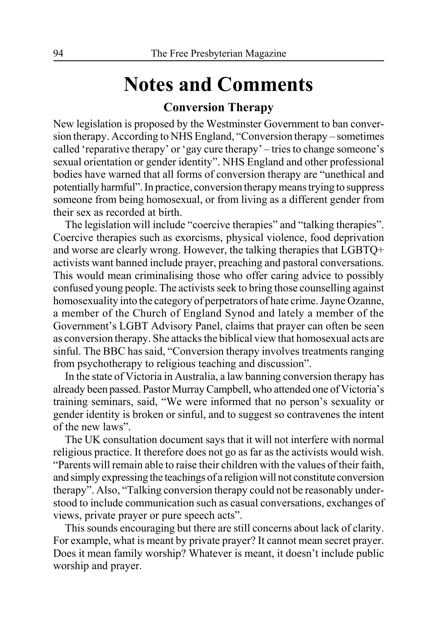# **Notes and Comments**

# **Conversion Therapy**

New legislation is proposed by the Westminster Government to ban conversion therapy. According to NHS England, "Conversion therapy – sometimes called 'reparative therapy' or 'gay cure therapy' – tries to change someone's sexual orientation or gender identity". NHS England and other professional bodies have warned that all forms of conversion therapy are "unethical and potentially harmful". In practice, conversion therapy means trying to suppress someone from being homosexual, or from living as a different gender from their sex as recorded at birth.

The legislation will include "coercive therapies" and "talking therapies". Coercive therapies such as exorcisms, physical violence, food deprivation and worse are clearly wrong. However, the talking therapies that LGBTQ+ activists want banned include prayer, preaching and pastoral conversations. This would mean criminalising those who offer caring advice to possibly confused young people. The activists seek to bring those counselling against homosexuality into the category of perpetrators of hate crime. Jayne Ozanne, a member of the Church of England Synod and lately a member of the Government's LGBT Advisory Panel, claims that prayer can often be seen as conversion therapy. She attacks the biblical view that homosexual acts are sinful. The BBC has said, "Conversion therapy involves treatments ranging from psychotherapy to religious teaching and discussion".

In the state of Victoria in Australia, a law banning conversion therapy has already been passed. Pastor Murray Campbell, who attended one of Victoria's training seminars, said, "We were informed that no person's sexuality or gender identity is broken or sinful, and to suggest so contravenes the intent of the new laws".

The UK consultation document says that it will not interfere with normal religious practice. It therefore does not go as far as the activists would wish. "Parents will remain able to raise their children with the values of their faith, and simply expressing the teachings of a religion will not constitute conversion therapy". Also, "Talking conversion therapy could not be reasonably understood to include communication such as casual conversations, exchanges of views, private prayer or pure speech acts".

This sounds encouraging but there are still concerns about lack of clarity. For example, what is meant by private prayer? It cannot mean secret prayer. Does it mean family worship? Whatever is meant, it doesn't include public worship and prayer.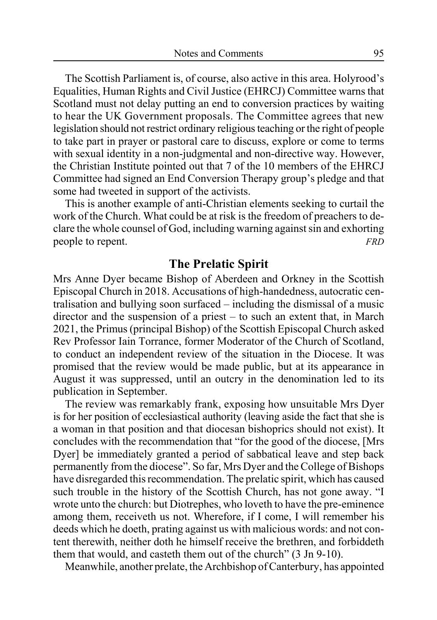The Scottish Parliament is, of course, also active in this area. Holyrood's Equalities, Human Rights and Civil Justice (EHRCJ) Committee warns that Scotland must not delay putting an end to conversion practices by waiting to hear the UK Government proposals. The Committee agrees that new legislation should not restrict ordinary religious teaching or the right of people to take part in prayer or pastoral care to discuss, explore or come to terms with sexual identity in a non-judgmental and non-directive way. However, the Christian Institute pointed out that 7 of the 10 members of the EHRCJ Committee had signed an End Conversion Therapy group's pledge and that some had tweeted in support of the activists.

This is another example of anti-Christian elements seeking to curtail the work of the Church. What could be at risk is the freedom of preachers to declare the whole counsel of God, including warning against sin and exhorting people to repent. *FRD* 

# **The Prelatic Spirit**

Mrs Anne Dyer became Bishop of Aberdeen and Orkney in the Scottish Episcopal Church in 2018. Accusations of high-handedness, autocratic centralisation and bullying soon surfaced – including the dismissal of a music director and the suspension of a priest – to such an extent that, in March 2021, the Primus (principal Bishop) of the Scottish Episcopal Church asked Rev Professor Iain Torrance, former Moderator of the Church of Scotland, to conduct an independent review of the situation in the Diocese. It was promised that the review would be made public, but at its appearance in August it was suppressed, until an outcry in the denomination led to its publication in September.

The review was remarkably frank, exposing how unsuitable Mrs Dyer is for her position of ecclesiastical authority (leaving aside the fact that she is a woman in that position and that diocesan bishoprics should not exist). It concludes with the recommendation that "for the good of the diocese, [Mrs Dyer] be immediately granted a period of sabbatical leave and step back permanently from the diocese". So far, Mrs Dyer and the College of Bishops have disregarded this recommendation. The prelatic spirit, which has caused such trouble in the history of the Scottish Church, has not gone away. "I wrote unto the church: but Diotrephes, who loveth to have the pre-eminence among them, receiveth us not. Wherefore, if I come, I will remember his deeds which he doeth, prating against us with malicious words: and not content therewith, neither doth he himself receive the brethren, and forbiddeth them that would, and casteth them out of the church" (3 Jn 9-10).

Meanwhile, another prelate, the Archbishop of Canterbury, has appointed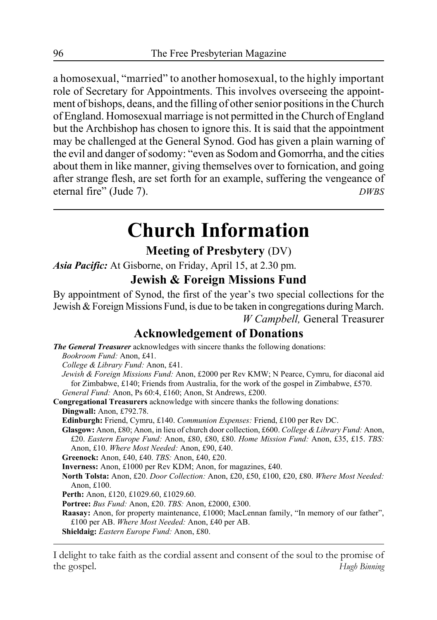a homosexual, "married" to another homosexual, to the highly important role of Secretary for Appointments. This involves overseeing the appointment of bishops, deans, and the filling of other senior positions in the Church of England. Homosexual marriage is not permitted in the Church of England but the Archbishop has chosen to ignore this. It is said that the appointment may be challenged at the General Synod. God has given a plain warning of the evil and danger of sodomy: "even as Sodom and Gomorrha, and the cities about them in like manner, giving themselves over to fornication, and going after strange flesh, are set forth for an example, suffering the vengeance of eternal fire" (Jude 7). *DWBS*

# **Church Information**

# **Meeting of Presbytery** (DV)

*Asia Pacific:* At Gisborne, on Friday, April 15, at 2.30 pm.

# **Jewish & Foreign Missions Fund**

By appointment of Synod, the first of the year's two special collections for the Jewish & Foreign Missions Fund, is due to be taken in congregations during March. *W Campbell,* General Treasurer

# **Acknowledgement of Donations**

*The General Treasurer* acknowledges with sincere thanks the following donations: *Bookroom Fund:* Anon, £41. *College & Library Fund:* Anon, £41. *Jewish & Foreign Missions Fund:* Anon, £2000 per Rev KMW; N Pearce, Cymru, for diaconal aid for Zimbabwe, £140; Friends from Australia, for the work of the gospel in Zimbabwe, £570. *General Fund:* Anon, Ps 60:4, £160; Anon, St Andrews, £200. **Congregational Treasurers** acknowledge with sincere thanks the following donations: **Dingwall:** Anon, £792.78. **Edinburgh:** Friend, Cymru, £140. *Communion Expenses:* Friend, £100 per Rev DC. **Glasgow:** Anon, £80; Anon, in lieu of church door collection, £600. *College & Library Fund:* Anon, £20. *Eastern Europe Fund:* Anon, £80, £80, £80. *Home Mission Fund:* Anon, £35, £15. *TBS:* Anon, £10. *Where Most Needed:* Anon, £90, £40. **Greenock:** Anon, £40, £40. *TBS:* Anon, £40, £20. **Inverness:** Anon, £1000 per Rev KDM; Anon, for magazines, £40. **North Tolsta:** Anon, £20. *Door Collection:* Anon, £20, £50, £100, £20, £80. *Where Most Needed:* Anon, £100. **Perth:** Anon, £120, £1029.60, £1029.60. **Portree:** *Bus Fund:* Anon, £20. *TBS:* Anon, £2000, £300. **Raasay:** Anon, for property maintenance, £1000; MacLennan family, "In memory of our father", £100 per AB. *Where Most Needed:* Anon, £40 per AB.

**Shieldaig:** *Eastern Europe Fund:* Anon, £80.

I delight to take faith as the cordial assent and consent of the soul to the promise of the gospel. *Hugh Binning*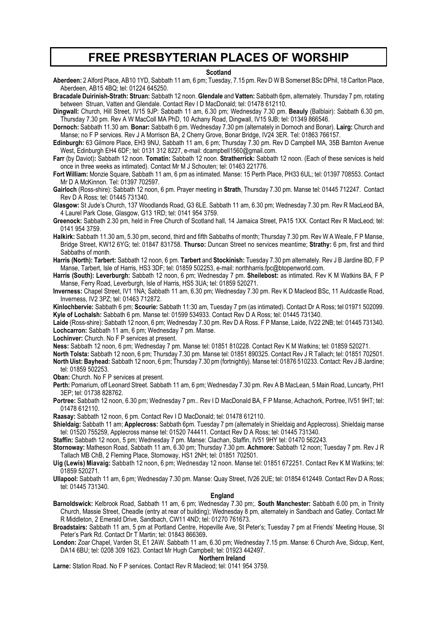# **FREE PRESBYTERIAN PLACES OF WORSHIP**

### **Scotland**

**Aberdeen:** 2 Alford Place, AB10 1YD, Sabbath 11 am, 6 pm; Tuesday, 7.15 pm. Rev D W B Somerset BSc DPhil, 18 Carlton Place, Aberdeen, AB15 4BQ; tel: 01224 645250.

**Bracadale Duirinish-Strath: Struan:** Sabbath 12 noon. **Glendale** and **Vatten:** Sabbath 6pm, alternately. Thursday 7 pm, rotating between Struan, Vatten and Glendale. Contact Rev I D MacDonald; tel: 01478 612110.

**Dingwall:** Church, Hill Street, IV15 9JP: Sabbath 11 am, 6.30 pm; Wednesday 7.30 pm. **Beauly** (Balblair): Sabbath 6.30 pm, Thursday 7.30 pm. Rev A W MacColl MA PhD, 10 Achany Road, Dingwall, IV15 9JB; tel: 01349 866546.

**Dornoch:** Sabbath 11.30 am. **Bonar:** Sabbath 6 pm. Wednesday 7.30 pm (alternately in Dornoch and Bonar). **Lairg:** Church and Manse; no F P services. Rev J A Morrison BA, 2 Cherry Grove, Bonar Bridge, IV24 3ER. Tel: 01863 766157.

**Edinburgh:** 63 Gilmore Place, EH3 9NU, Sabbath 11 am, 6 pm; Thursday 7.30 pm. Rev D Campbell MA, 35B Barnton Avenue West, Edinburgh EH4 6DF; tel: 0131 312 8227, e-mail: dcampbell1560@gmail.com.

**Farr** (by Daviot)**:** Sabbath 12 noon. **Tomatin:** Sabbath 12 noon. **Stratherrick:** Sabbath 12 noon. (Each of these services is held once in three weeks as intimated). Contact Mr M J Schouten; tel: 01463 221776.

**Fort William:** Monzie Square, Sabbath 11 am, 6 pm as intimated. Manse: 15 Perth Place, PH33 6UL; tel: 01397 708553. Contact Mr D A McKinnon. Tel: 01397 702597.

**Gairloch** (Ross-shire): Sabbath 12 noon, 6 pm. Prayer meeting in **Strath**, Thursday 7.30 pm. Manse tel: 01445 712247. Contact Rev D A Ross; tel: 01445 731340.

**Glasgow:** St Jude's Church, 137 Woodlands Road, G3 6LE. Sabbath 11 am, 6.30 pm; Wednesday 7.30 pm. Rev R MacLeod BA, 4 Laurel Park Close, Glasgow, G13 1RD; tel: 0141 954 3759.

**Greenock:** Sabbath 2.30 pm, held in Free Church of Scotland hall, 14 Jamaica Street, PA15 1XX. Contact Rev R MacLeod; tel: 0141 954 3759.

**Halkirk:** Sabbath 11.30 am, 5.30 pm, second, third and fifth Sabbaths of month; Thursday 7.30 pm. Rev W A Weale, F P Manse, Bridge Street, KW12 6YG; tel: 01847 831758. **Thurso:** Duncan Street no services meantime; **Strathy:** 6 pm, first and third Sabbaths of month.

**Harris (North): Tarbert:** Sabbath 12 noon, 6 pm. **Tarbert** and **Stockinish:** Tuesday 7.30 pm alternately. Rev J B Jardine BD, F P Manse, Tarbert, Isle of Harris, HS3 3DF; tel: 01859 502253, e-mail: northharris.fpc@btopenworld.com.

**Harris (South): Leverburgh:** Sabbath 12 noon, 6 pm; Wednesday 7 pm. **Sheilebost:** as intimated. Rev K M Watkins BA, F P Manse, Ferry Road, Leverburgh, Isle of Harris, HS5 3UA; tel: 01859 520271.

**Inverness:** Chapel Street, IV1 1NA; Sabbath 11 am, 6.30 pm; Wednesday 7.30 pm. Rev K D Macleod BSc, 11 Auldcastle Road, Inverness, IV2 3PZ; tel: 01463 712872.

**Kinlochbervie:** Sabbath 6 pm; **Scourie:** Sabbath 11:30 am, Tuesday 7 pm (as intimated). Contact Dr A Ross; tel 01971 502099. **Kyle of Lochalsh:** Sabbath 6 pm. Manse tel: 01599 534933. Contact Rev D A Ross; tel: 01445 731340.

**Laide** (Ross-shire): Sabbath 12 noon, 6 pm; Wednesday 7.30 pm. Rev D A Ross. F P Manse, Laide, IV22 2NB; tel: 01445 731340. **Lochcarron:** Sabbath 11 am, 6 pm; Wednesday 7 pm. Manse.

**Lochinver:** Church. No F P services at present.

**Ness:** Sabbath 12 noon, 6 pm; Wednesday 7 pm. Manse tel: 01851 810228. Contact Rev K M Watkins; tel: 01859 520271.

**North Tolsta:** Sabbath 12 noon, 6 pm; Thursday 7.30 pm. Manse tel: 01851 890325. Contact Rev J R Tallach; tel: 01851 702501.

**North Uist: Bayhead:** Sabbath 12 noon, 6 pm; Thursday 7.30 pm (fortnightly). Manse tel: 01876 510233. Contact: Rev J B Jardine; tel: 01859 502253.

**Oban:** Church. No F P services at present.

**Perth:** Pomarium, off Leonard Street. Sabbath 11 am, 6 pm; Wednesday 7.30 pm. Rev A B MacLean, 5 Main Road, Luncarty, PH1 3EP; tel: 01738 828762.

**Portree:** Sabbath 12 noon, 6.30 pm; Wednesday 7 pm.. Rev I D MacDonald BA, F P Manse, Achachork, Portree, IV51 9HT; tel: 01478 612110.

**Raasay:** Sabbath 12 noon, 6 pm. Contact Rev I D MacDonald; tel: 01478 612110.

**Shieldaig:** Sabbath 11 am; **Applecross:** Sabbath 6pm. Tuesday 7 pm (alternately in Shieldaig and Applecross). Shieldaig manse tel: 01520 755259, Applecross manse tel: 01520 744411. Contact Rev D A Ross; tel: 01445 731340.

**Staffin:** Sabbath 12 noon, 5 pm; Wednesday 7 pm. Manse: Clachan, Staffin, IV51 9HY tel: 01470 562243.

**Stornoway:** Matheson Road, Sabbath 11 am, 6.30 pm; Thursday 7.30 pm. **Achmore:** Sabbath 12 noon; Tuesday 7 pm. Rev J R Tallach MB ChB, 2 Fleming Place, Stornoway, HS1 2NH; tel: 01851 702501.

**Uig (Lewis) Miavaig:** Sabbath 12 noon, 6 pm; Wednesday 12 noon. Manse tel: 01851 672251. Contact Rev K M Watkins; tel: 01859 520271.

**Ullapool:** Sabbath 11 am, 6 pm; Wednesday 7.30 pm. Manse: Quay Street, IV26 2UE; tel: 01854 612449. Contact Rev D A Ross; tel: 01445 731340.

### **England**

**Barnoldswick:** Kelbrook Road, Sabbath 11 am, 6 pm; Wednesday 7.30 pm;. **South Manchester:** Sabbath 6.00 pm, in Trinity Church, Massie Street, Cheadle (entry at rear of building); Wednesday 8 pm, alternately in Sandbach and Gatley. Contact Mr R Middleton, 2 Emerald Drive, Sandbach, CW11 4ND; tel: 01270 761673.

**Broadstairs:** Sabbath 11 am, 5 pm at Portland Centre, Hopeville Ave, St Peter's; Tuesday 7 pm at Friends' Meeting House, St Peter's Park Rd. Contact Dr T Martin; tel: 01843 866369**.**

**London:** Zoar Chapel, Varden St, E1 2AW. Sabbath 11 am, 6.30 pm; Wednesday 7.15 pm. Manse: 6 Church Ave, Sidcup, Kent, DA14 6BU; tel: 0208 309 1623. Contact Mr Hugh Campbell; tel: 01923 442497.

**Northern Ireland**

**Larne:** Station Road. No F P services. Contact Rev R Macleod; tel: 0141 954 3759.